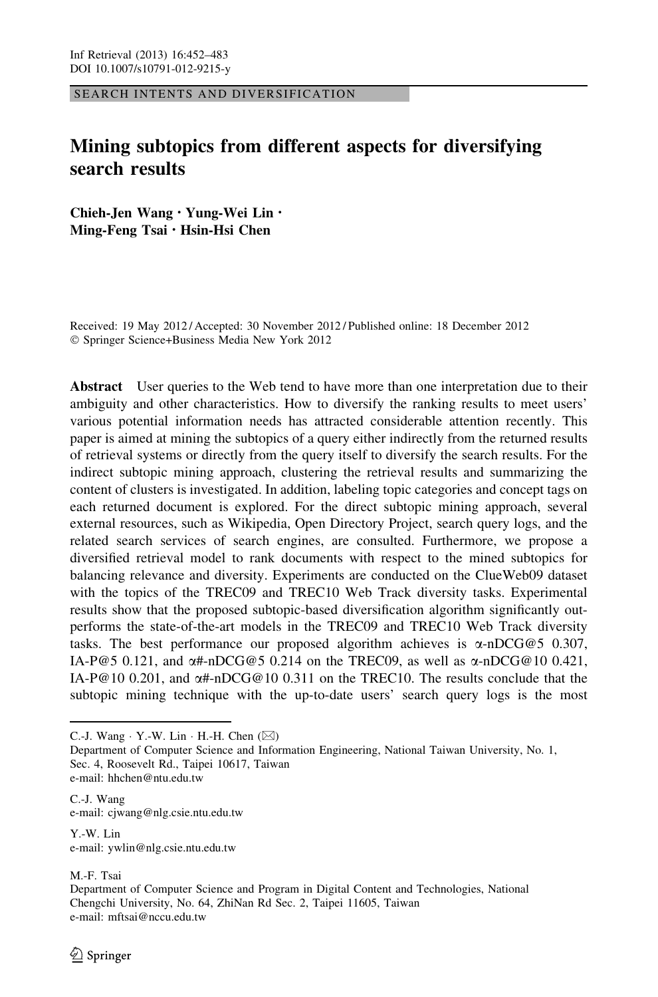SEARCH INTENTS AND DIVERSIFICATION

# Mining subtopics from different aspects for diversifying search results

Chieh-Jen Wang • Yung-Wei Lin • Ming-Feng Tsai • Hsin-Hsi Chen

Received: 19 May 2012 / Accepted: 30 November 2012 / Published online: 18 December 2012 - Springer Science+Business Media New York 2012

Abstract User queries to the Web tend to have more than one interpretation due to their ambiguity and other characteristics. How to diversify the ranking results to meet users' various potential information needs has attracted considerable attention recently. This paper is aimed at mining the subtopics of a query either indirectly from the returned results of retrieval systems or directly from the query itself to diversify the search results. For the indirect subtopic mining approach, clustering the retrieval results and summarizing the content of clusters is investigated. In addition, labeling topic categories and concept tags on each returned document is explored. For the direct subtopic mining approach, several external resources, such as Wikipedia, Open Directory Project, search query logs, and the related search services of search engines, are consulted. Furthermore, we propose a diversified retrieval model to rank documents with respect to the mined subtopics for balancing relevance and diversity. Experiments are conducted on the ClueWeb09 dataset with the topics of the TREC09 and TREC10 Web Track diversity tasks. Experimental results show that the proposed subtopic-based diversification algorithm significantly outperforms the state-of-the-art models in the TREC09 and TREC10 Web Track diversity tasks. The best performance our proposed algorithm achieves is  $\alpha$ -nDCG@5 0.307, IA-P@5 0.121, and  $\alpha$ #-nDCG@5 0.214 on the TREC09, as well as  $\alpha$ -nDCG@10 0.421, IA-P@10 0.201, and  $\alpha$ #-nDCG@10 0.311 on the TREC10. The results conclude that the subtopic mining technique with the up-to-date users' search query logs is the most

Department of Computer Science and Information Engineering, National Taiwan University, No. 1, Sec. 4, Roosevelt Rd., Taipei 10617, Taiwan e-mail: hhchen@ntu.edu.tw

C.-J. Wang e-mail: cjwang@nlg.csie.ntu.edu.tw

Y.-W. Lin e-mail: ywlin@nlg.csie.ntu.edu.tw

M.-F. Tsai Department of Computer Science and Program in Digital Content and Technologies, National Chengchi University, No. 64, ZhiNan Rd Sec. 2, Taipei 11605, Taiwan e-mail: mftsai@nccu.edu.tw

C.-J. Wang  $\cdot$  Y.-W. Lin  $\cdot$  H.-H. Chen ( $\boxtimes$ )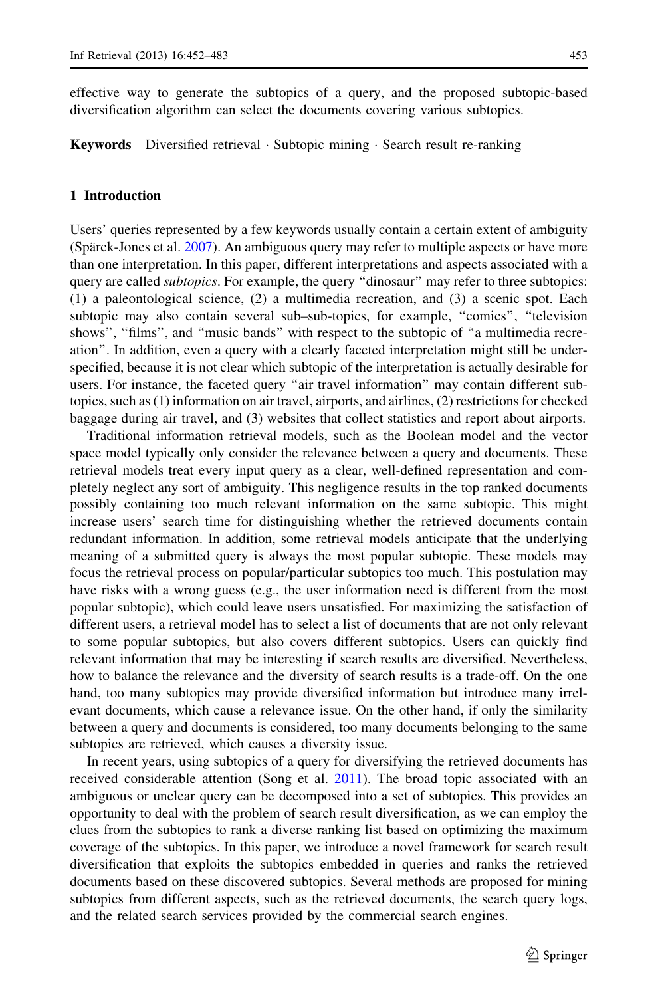effective way to generate the subtopics of a query, and the proposed subtopic-based diversification algorithm can select the documents covering various subtopics.

**Keywords** Diversified retrieval · Subtopic mining · Search result re-ranking

### 1 Introduction

Users' queries represented by a few keywords usually contain a certain extent of ambiguity (Spärck-Jones et al. [2007](#page-31-0)). An ambiguous query may refer to multiple aspects or have more than one interpretation. In this paper, different interpretations and aspects associated with a query are called *subtopics*. For example, the query "dinosaur" may refer to three subtopics: (1) a paleontological science, (2) a multimedia recreation, and (3) a scenic spot. Each subtopic may also contain several sub–sub-topics, for example, "comics", "television shows", "films", and "music bands" with respect to the subtopic of "a multimedia recreation''. In addition, even a query with a clearly faceted interpretation might still be underspecified, because it is not clear which subtopic of the interpretation is actually desirable for users. For instance, the faceted query ''air travel information'' may contain different subtopics, such as (1) information on air travel, airports, and airlines, (2) restrictions for checked baggage during air travel, and (3) websites that collect statistics and report about airports.

Traditional information retrieval models, such as the Boolean model and the vector space model typically only consider the relevance between a query and documents. These retrieval models treat every input query as a clear, well-defined representation and completely neglect any sort of ambiguity. This negligence results in the top ranked documents possibly containing too much relevant information on the same subtopic. This might increase users' search time for distinguishing whether the retrieved documents contain redundant information. In addition, some retrieval models anticipate that the underlying meaning of a submitted query is always the most popular subtopic. These models may focus the retrieval process on popular/particular subtopics too much. This postulation may have risks with a wrong guess (e.g., the user information need is different from the most popular subtopic), which could leave users unsatisfied. For maximizing the satisfaction of different users, a retrieval model has to select a list of documents that are not only relevant to some popular subtopics, but also covers different subtopics. Users can quickly find relevant information that may be interesting if search results are diversified. Nevertheless, how to balance the relevance and the diversity of search results is a trade-off. On the one hand, too many subtopics may provide diversified information but introduce many irrelevant documents, which cause a relevance issue. On the other hand, if only the similarity between a query and documents is considered, too many documents belonging to the same subtopics are retrieved, which causes a diversity issue.

In recent years, using subtopics of a query for diversifying the retrieved documents has received considerable attention (Song et al. [2011](#page-31-0)). The broad topic associated with an ambiguous or unclear query can be decomposed into a set of subtopics. This provides an opportunity to deal with the problem of search result diversification, as we can employ the clues from the subtopics to rank a diverse ranking list based on optimizing the maximum coverage of the subtopics. In this paper, we introduce a novel framework for search result diversification that exploits the subtopics embedded in queries and ranks the retrieved documents based on these discovered subtopics. Several methods are proposed for mining subtopics from different aspects, such as the retrieved documents, the search query logs, and the related search services provided by the commercial search engines.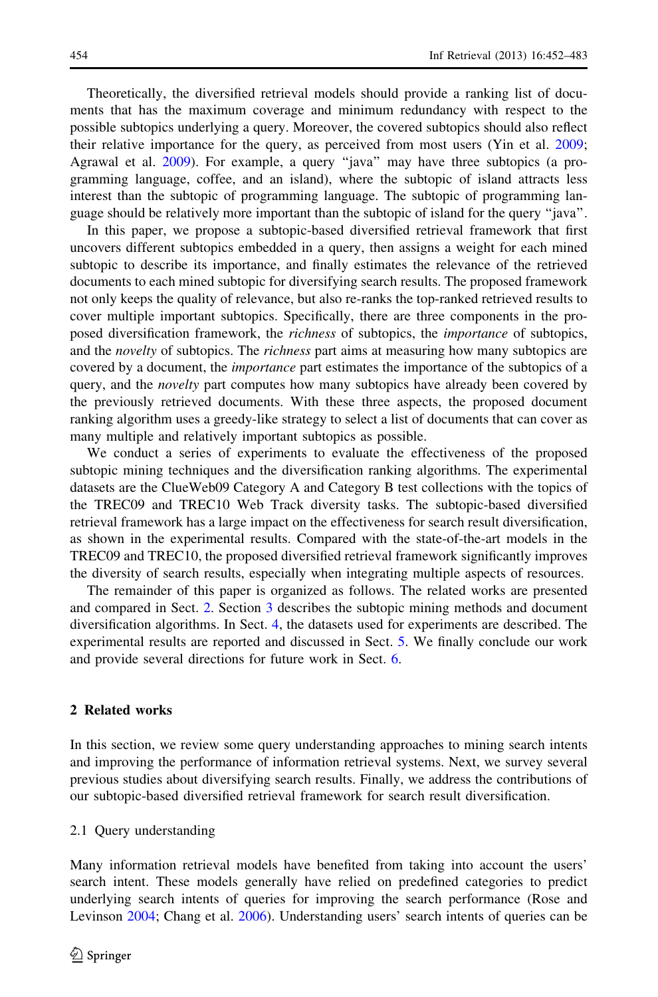Theoretically, the diversified retrieval models should provide a ranking list of documents that has the maximum coverage and minimum redundancy with respect to the possible subtopics underlying a query. Moreover, the covered subtopics should also reflect their relative importance for the query, as perceived from most users (Yin et al. [2009;](#page-31-0) Agrawal et al. [2009](#page-30-0)). For example, a query ''java'' may have three subtopics (a programming language, coffee, and an island), where the subtopic of island attracts less interest than the subtopic of programming language. The subtopic of programming language should be relatively more important than the subtopic of island for the query ''java''.

In this paper, we propose a subtopic-based diversified retrieval framework that first uncovers different subtopics embedded in a query, then assigns a weight for each mined subtopic to describe its importance, and finally estimates the relevance of the retrieved documents to each mined subtopic for diversifying search results. The proposed framework not only keeps the quality of relevance, but also re-ranks the top-ranked retrieved results to cover multiple important subtopics. Specifically, there are three components in the proposed diversification framework, the *richness* of subtopics, the *importance* of subtopics, and the *novelty* of subtopics. The *richness* part aims at measuring how many subtopics are covered by a document, the *importance* part estimates the importance of the subtopics of a query, and the *novelty* part computes how many subtopics have already been covered by the previously retrieved documents. With these three aspects, the proposed document ranking algorithm uses a greedy-like strategy to select a list of documents that can cover as many multiple and relatively important subtopics as possible.

We conduct a series of experiments to evaluate the effectiveness of the proposed subtopic mining techniques and the diversification ranking algorithms. The experimental datasets are the ClueWeb09 Category A and Category B test collections with the topics of the TREC09 and TREC10 Web Track diversity tasks. The subtopic-based diversified retrieval framework has a large impact on the effectiveness for search result diversification, as shown in the experimental results. Compared with the state-of-the-art models in the TREC09 and TREC10, the proposed diversified retrieval framework significantly improves the diversity of search results, especially when integrating multiple aspects of resources.

The remainder of this paper is organized as follows. The related works are presented and compared in Sect. 2. Section [3](#page-4-0) describes the subtopic mining methods and document diversification algorithms. In Sect. [4](#page-14-0), the datasets used for experiments are described. The experimental results are reported and discussed in Sect. [5.](#page-15-0) We finally conclude our work and provide several directions for future work in Sect. [6](#page-29-0).

### 2 Related works

In this section, we review some query understanding approaches to mining search intents and improving the performance of information retrieval systems. Next, we survey several previous studies about diversifying search results. Finally, we address the contributions of our subtopic-based diversified retrieval framework for search result diversification.

### 2.1 Query understanding

Many information retrieval models have benefited from taking into account the users' search intent. These models generally have relied on predefined categories to predict underlying search intents of queries for improving the search performance (Rose and Levinson [2004;](#page-31-0) Chang et al. [2006](#page-30-0)). Understanding users' search intents of queries can be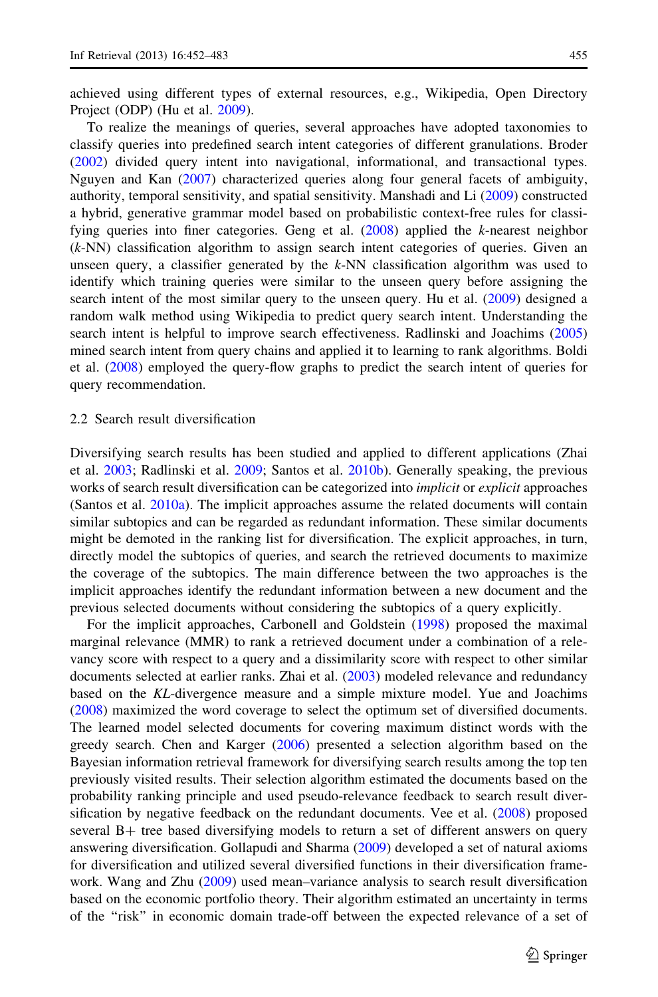<span id="page-3-0"></span>achieved using different types of external resources, e.g., Wikipedia, Open Directory Project (ODP) (Hu et al. [2009](#page-30-0)).

To realize the meanings of queries, several approaches have adopted taxonomies to classify queries into predefined search intent categories of different granulations. Broder ([2002\)](#page-30-0) divided query intent into navigational, informational, and transactional types. Nguyen and Kan [\(2007](#page-31-0)) characterized queries along four general facets of ambiguity, authority, temporal sensitivity, and spatial sensitivity. Manshadi and Li [\(2009](#page-30-0)) constructed a hybrid, generative grammar model based on probabilistic context-free rules for classifying queries into finer categories. Geng et al. [\(2008](#page-30-0)) applied the k-nearest neighbor (k-NN) classification algorithm to assign search intent categories of queries. Given an unseen query, a classifier generated by the  $k$ -NN classification algorithm was used to identify which training queries were similar to the unseen query before assigning the search intent of the most similar query to the unseen query. Hu et al. ([2009\)](#page-30-0) designed a random walk method using Wikipedia to predict query search intent. Understanding the search intent is helpful to improve search effectiveness. Radlinski and Joachims ([2005](#page-31-0)) mined search intent from query chains and applied it to learning to rank algorithms. Boldi et al. [\(2008](#page-30-0)) employed the query-flow graphs to predict the search intent of queries for query recommendation.

### 2.2 Search result diversification

Diversifying search results has been studied and applied to different applications (Zhai et al. [2003](#page-31-0); Radlinski et al. [2009;](#page-31-0) Santos et al. [2010b](#page-31-0)). Generally speaking, the previous works of search result diversification can be categorized into *implicit* or *explicit* approaches (Santos et al. [2010a\)](#page-31-0). The implicit approaches assume the related documents will contain similar subtopics and can be regarded as redundant information. These similar documents might be demoted in the ranking list for diversification. The explicit approaches, in turn, directly model the subtopics of queries, and search the retrieved documents to maximize the coverage of the subtopics. The main difference between the two approaches is the implicit approaches identify the redundant information between a new document and the previous selected documents without considering the subtopics of a query explicitly.

For the implicit approaches, Carbonell and Goldstein [\(1998](#page-30-0)) proposed the maximal marginal relevance (MMR) to rank a retrieved document under a combination of a relevancy score with respect to a query and a dissimilarity score with respect to other similar documents selected at earlier ranks. Zhai et al. [\(2003\)](#page-31-0) modeled relevance and redundancy based on the KL-divergence measure and a simple mixture model. Yue and Joachims ([2008\)](#page-31-0) maximized the word coverage to select the optimum set of diversified documents. The learned model selected documents for covering maximum distinct words with the greedy search. Chen and Karger ([2006\)](#page-30-0) presented a selection algorithm based on the Bayesian information retrieval framework for diversifying search results among the top ten previously visited results. Their selection algorithm estimated the documents based on the probability ranking principle and used pseudo-relevance feedback to search result diversification by negative feedback on the redundant documents. Vee et al. [\(2008](#page-31-0)) proposed several  $B+$  tree based diversifying models to return a set of different answers on query answering diversification. Gollapudi and Sharma [\(2009](#page-30-0)) developed a set of natural axioms for diversification and utilized several diversified functions in their diversification framework. Wang and Zhu ([2009\)](#page-31-0) used mean–variance analysis to search result diversification based on the economic portfolio theory. Their algorithm estimated an uncertainty in terms of the ''risk'' in economic domain trade-off between the expected relevance of a set of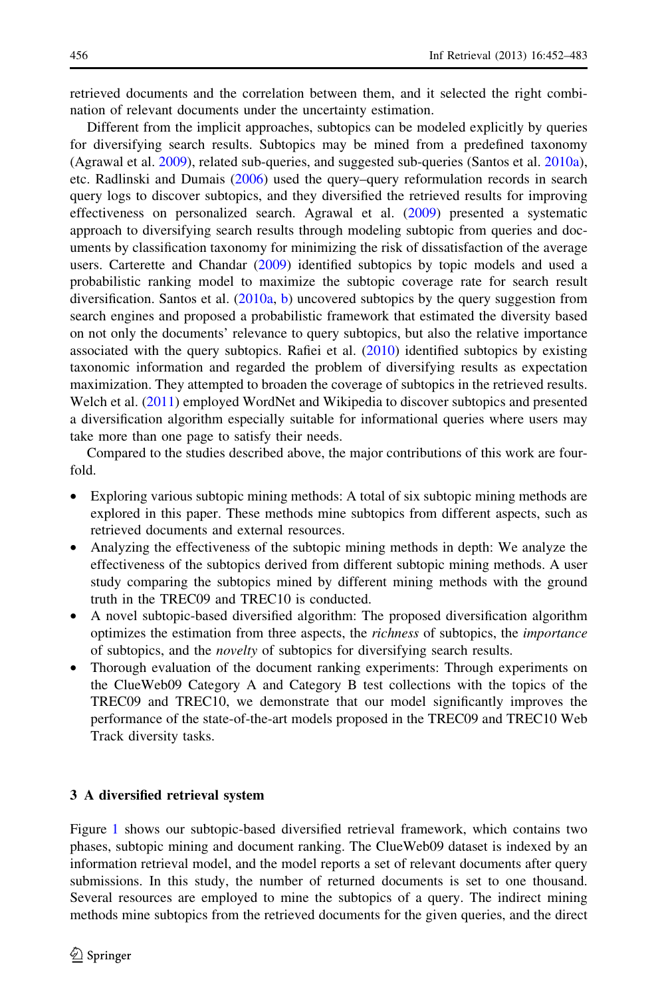<span id="page-4-0"></span>retrieved documents and the correlation between them, and it selected the right combination of relevant documents under the uncertainty estimation.

Different from the implicit approaches, subtopics can be modeled explicitly by queries for diversifying search results. Subtopics may be mined from a predefined taxonomy (Agrawal et al. [2009](#page-30-0)), related sub-queries, and suggested sub-queries (Santos et al. [2010a](#page-31-0)), etc. Radlinski and Dumais [\(2006](#page-31-0)) used the query–query reformulation records in search query logs to discover subtopics, and they diversified the retrieved results for improving effectiveness on personalized search. Agrawal et al. ([2009\)](#page-30-0) presented a systematic approach to diversifying search results through modeling subtopic from queries and documents by classification taxonomy for minimizing the risk of dissatisfaction of the average users. Carterette and Chandar ([2009\)](#page-30-0) identified subtopics by topic models and used a probabilistic ranking model to maximize the subtopic coverage rate for search result diversification. Santos et al. [\(2010a,](#page-31-0) [b\)](#page-31-0) uncovered subtopics by the query suggestion from search engines and proposed a probabilistic framework that estimated the diversity based on not only the documents' relevance to query subtopics, but also the relative importance associated with the query subtopics. Rafiei et al. ([2010\)](#page-31-0) identified subtopics by existing taxonomic information and regarded the problem of diversifying results as expectation maximization. They attempted to broaden the coverage of subtopics in the retrieved results. Welch et al. [\(2011\)](#page-31-0) employed WordNet and Wikipedia to discover subtopics and presented a diversification algorithm especially suitable for informational queries where users may take more than one page to satisfy their needs.

Compared to the studies described above, the major contributions of this work are fourfold.

- Exploring various subtopic mining methods: A total of six subtopic mining methods are explored in this paper. These methods mine subtopics from different aspects, such as retrieved documents and external resources.
- Analyzing the effectiveness of the subtopic mining methods in depth: We analyze the effectiveness of the subtopics derived from different subtopic mining methods. A user study comparing the subtopics mined by different mining methods with the ground truth in the TREC09 and TREC10 is conducted.
- A novel subtopic-based diversified algorithm: The proposed diversification algorithm optimizes the estimation from three aspects, the richness of subtopics, the importance of subtopics, and the novelty of subtopics for diversifying search results.
- Thorough evaluation of the document ranking experiments: Through experiments on the ClueWeb09 Category A and Category B test collections with the topics of the TREC09 and TREC10, we demonstrate that our model significantly improves the performance of the state-of-the-art models proposed in the TREC09 and TREC10 Web Track diversity tasks.

### 3 A diversified retrieval system

Figure [1](#page-5-0) shows our subtopic-based diversified retrieval framework, which contains two phases, subtopic mining and document ranking. The ClueWeb09 dataset is indexed by an information retrieval model, and the model reports a set of relevant documents after query submissions. In this study, the number of returned documents is set to one thousand. Several resources are employed to mine the subtopics of a query. The indirect mining methods mine subtopics from the retrieved documents for the given queries, and the direct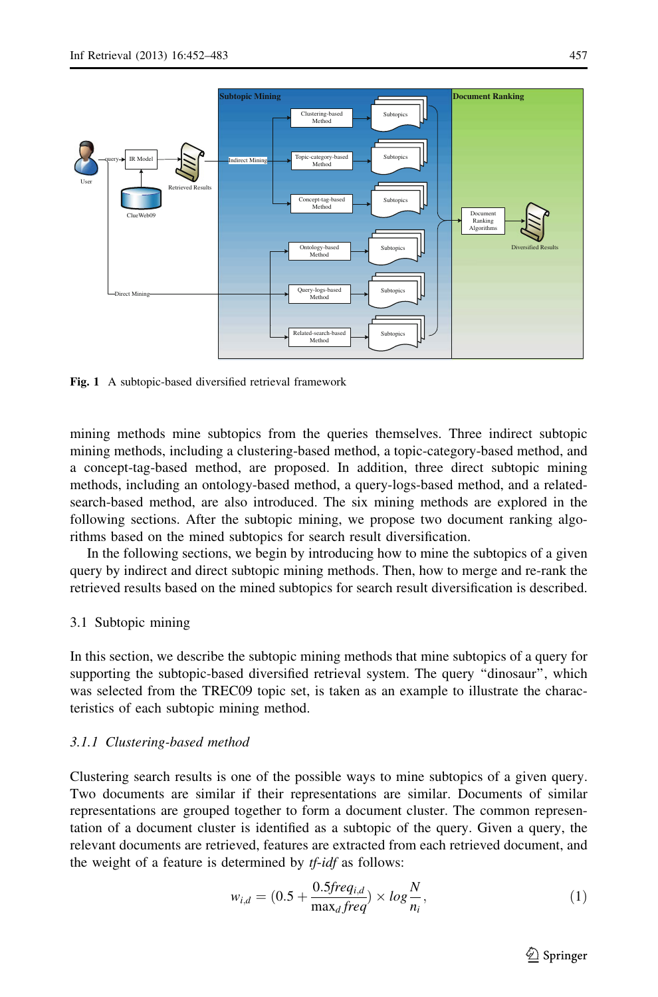<span id="page-5-0"></span>

Fig. 1 A subtopic-based diversified retrieval framework

mining methods mine subtopics from the queries themselves. Three indirect subtopic mining methods, including a clustering-based method, a topic-category-based method, and a concept-tag-based method, are proposed. In addition, three direct subtopic mining methods, including an ontology-based method, a query-logs-based method, and a relatedsearch-based method, are also introduced. The six mining methods are explored in the following sections. After the subtopic mining, we propose two document ranking algorithms based on the mined subtopics for search result diversification.

In the following sections, we begin by introducing how to mine the subtopics of a given query by indirect and direct subtopic mining methods. Then, how to merge and re-rank the retrieved results based on the mined subtopics for search result diversification is described.

### 3.1 Subtopic mining

In this section, we describe the subtopic mining methods that mine subtopics of a query for supporting the subtopic-based diversified retrieval system. The query "dinosaur", which was selected from the TREC09 topic set, is taken as an example to illustrate the characteristics of each subtopic mining method.

### 3.1.1 Clustering-based method

Clustering search results is one of the possible ways to mine subtopics of a given query. Two documents are similar if their representations are similar. Documents of similar representations are grouped together to form a document cluster. The common representation of a document cluster is identified as a subtopic of the query. Given a query, the relevant documents are retrieved, features are extracted from each retrieved document, and the weight of a feature is determined by tf-idf as follows:

$$
w_{i,d} = (0.5 + \frac{0.5freq_{i,d}}{\max_d freq}) \times log \frac{N}{n_i},\tag{1}
$$

 $\textcircled{2}$  Springer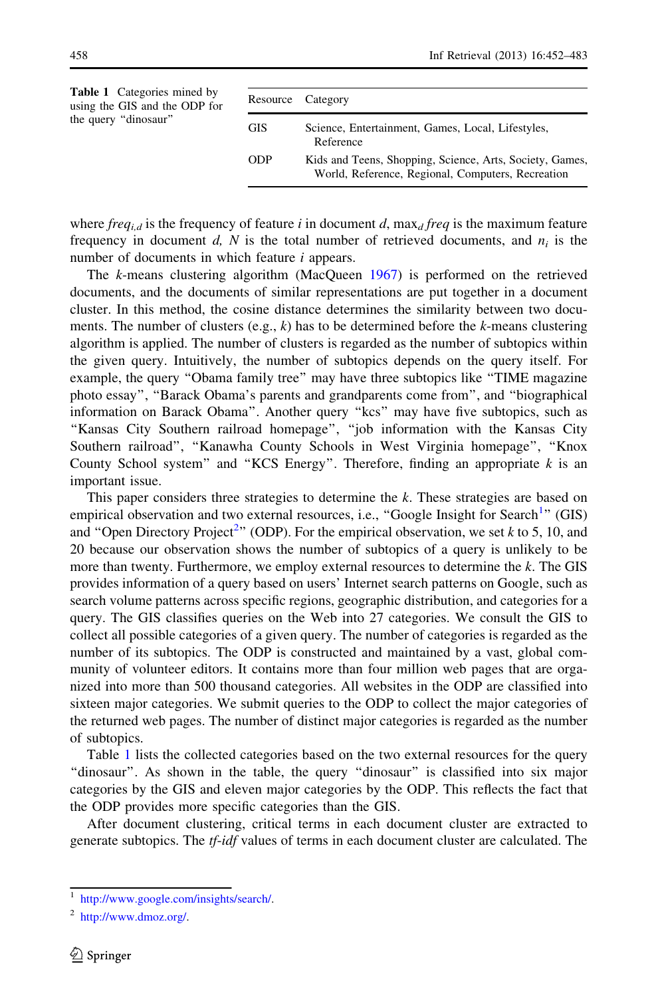| <b>Table 1</b> Categories mined by<br>using the GIS and the ODP for<br>the query "dinosaur" | Resource Category |                                                                                                               |
|---------------------------------------------------------------------------------------------|-------------------|---------------------------------------------------------------------------------------------------------------|
|                                                                                             | <b>GIS</b>        | Science, Entertainment, Games, Local, Lifestyles,<br>Reference                                                |
|                                                                                             | <b>ODP</b>        | Kids and Teens, Shopping, Science, Arts, Society, Games,<br>World, Reference, Regional, Computers, Recreation |

where freq<sub>id</sub> is the frequency of feature i in document d, max<sub>d</sub> freq is the maximum feature frequency in document d, N is the total number of retrieved documents, and  $n_i$  is the number of documents in which feature *i* appears.

The k-means clustering algorithm (MacQueen [1967\)](#page-30-0) is performed on the retrieved documents, and the documents of similar representations are put together in a document cluster. In this method, the cosine distance determines the similarity between two documents. The number of clusters  $(e.g., k)$  has to be determined before the k-means clustering algorithm is applied. The number of clusters is regarded as the number of subtopics within the given query. Intuitively, the number of subtopics depends on the query itself. For example, the query "Obama family tree" may have three subtopics like "TIME magazine photo essay'', ''Barack Obama's parents and grandparents come from'', and ''biographical information on Barack Obama''. Another query ''kcs'' may have five subtopics, such as ''Kansas City Southern railroad homepage'', ''job information with the Kansas City Southern railroad'', ''Kanawha County Schools in West Virginia homepage'', ''Knox County School system" and "KCS Energy". Therefore, finding an appropriate  $k$  is an important issue.

This paper considers three strategies to determine the  $k$ . These strategies are based on empirical observation and two external resources, i.e., "Google Insight for Search<sup>1</sup>" (GIS) and "Open Directory Project<sup>2</sup>" (ODP). For the empirical observation, we set k to 5, 10, and 20 because our observation shows the number of subtopics of a query is unlikely to be more than twenty. Furthermore, we employ external resources to determine the  $k$ . The GIS provides information of a query based on users' Internet search patterns on Google, such as search volume patterns across specific regions, geographic distribution, and categories for a query. The GIS classifies queries on the Web into 27 categories. We consult the GIS to collect all possible categories of a given query. The number of categories is regarded as the number of its subtopics. The ODP is constructed and maintained by a vast, global community of volunteer editors. It contains more than four million web pages that are organized into more than 500 thousand categories. All websites in the ODP are classified into sixteen major categories. We submit queries to the ODP to collect the major categories of the returned web pages. The number of distinct major categories is regarded as the number of subtopics.

Table 1 lists the collected categories based on the two external resources for the query ''dinosaur''. As shown in the table, the query ''dinosaur'' is classified into six major categories by the GIS and eleven major categories by the ODP. This reflects the fact that the ODP provides more specific categories than the GIS.

After document clustering, critical terms in each document cluster are extracted to generate subtopics. The *tf-idf* values of terms in each document cluster are calculated. The

<sup>1</sup> <http://www.google.com/insights/search/>.

<sup>2</sup> <http://www.dmoz.org/>.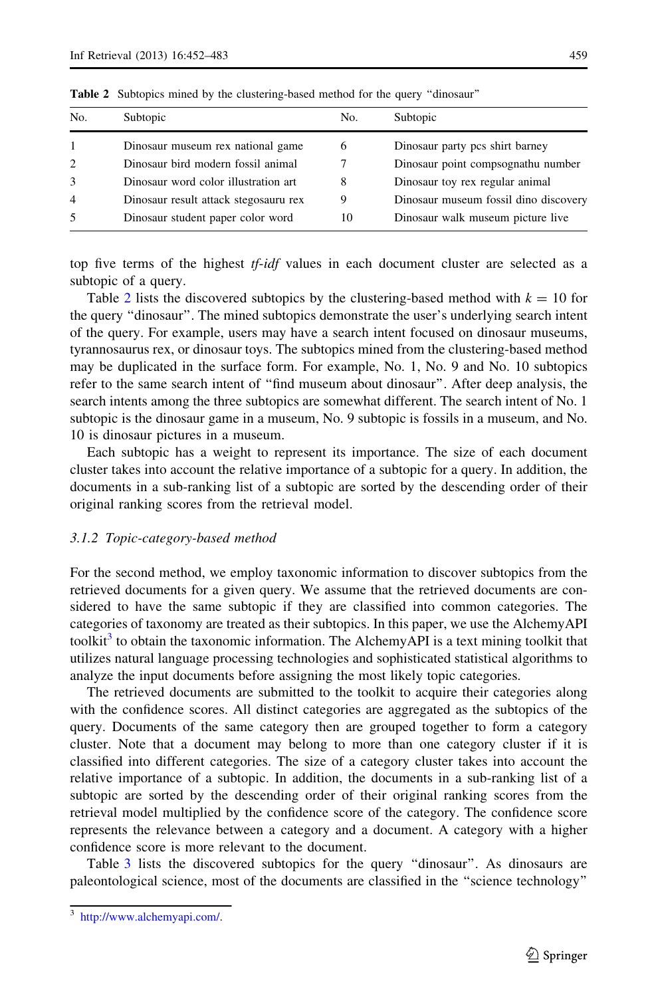|     | <b>There</b> $\mathbf{r}$ bublished by the enforcing bubble include for the query dimoduli |     |                                    |
|-----|--------------------------------------------------------------------------------------------|-----|------------------------------------|
| No. | Subtopic                                                                                   | No. | Subtopic                           |
|     | Dinosaur museum rex national game                                                          | 6   | Dinosaur party pcs shirt barney    |
|     | Dinosaur bird modern fossil animal                                                         |     | Dinosaur point compsognathu number |
|     | Dinosaur word color illustration art                                                       |     | Dinosaur toy rex regular animal    |

Table 2 Subtopics mined by the clustering-based method for the query "dinosaur"

top five terms of the highest  $tf-idf$  values in each document cluster are selected as a subtopic of a query.

4 Dinosaur result attack stegosauru rex 9 Dinosaur museum fossil dino discovery 5 Dinosaur student paper color word 10 Dinosaur walk museum picture live

Table 2 lists the discovered subtopics by the clustering-based method with  $k = 10$  for the query ''dinosaur''. The mined subtopics demonstrate the user's underlying search intent of the query. For example, users may have a search intent focused on dinosaur museums, tyrannosaurus rex, or dinosaur toys. The subtopics mined from the clustering-based method may be duplicated in the surface form. For example, No. 1, No. 9 and No. 10 subtopics refer to the same search intent of ''find museum about dinosaur''. After deep analysis, the search intents among the three subtopics are somewhat different. The search intent of No. 1 subtopic is the dinosaur game in a museum, No. 9 subtopic is fossils in a museum, and No. 10 is dinosaur pictures in a museum.

Each subtopic has a weight to represent its importance. The size of each document cluster takes into account the relative importance of a subtopic for a query. In addition, the documents in a sub-ranking list of a subtopic are sorted by the descending order of their original ranking scores from the retrieval model.

### 3.1.2 Topic-category-based method

For the second method, we employ taxonomic information to discover subtopics from the retrieved documents for a given query. We assume that the retrieved documents are considered to have the same subtopic if they are classified into common categories. The categories of taxonomy are treated as their subtopics. In this paper, we use the AlchemyAPI toolkit<sup>3</sup> to obtain the taxonomic information. The AlchemyAPI is a text mining toolkit that utilizes natural language processing technologies and sophisticated statistical algorithms to analyze the input documents before assigning the most likely topic categories.

The retrieved documents are submitted to the toolkit to acquire their categories along with the confidence scores. All distinct categories are aggregated as the subtopics of the query. Documents of the same category then are grouped together to form a category cluster. Note that a document may belong to more than one category cluster if it is classified into different categories. The size of a category cluster takes into account the relative importance of a subtopic. In addition, the documents in a sub-ranking list of a subtopic are sorted by the descending order of their original ranking scores from the retrieval model multiplied by the confidence score of the category. The confidence score represents the relevance between a category and a document. A category with a higher confidence score is more relevant to the document.

Table [3](#page-8-0) lists the discovered subtopics for the query ''dinosaur''. As dinosaurs are paleontological science, most of the documents are classified in the ''science technology''

[http://www.alchemyapi.com/.](http://www.alchemyapi.com/)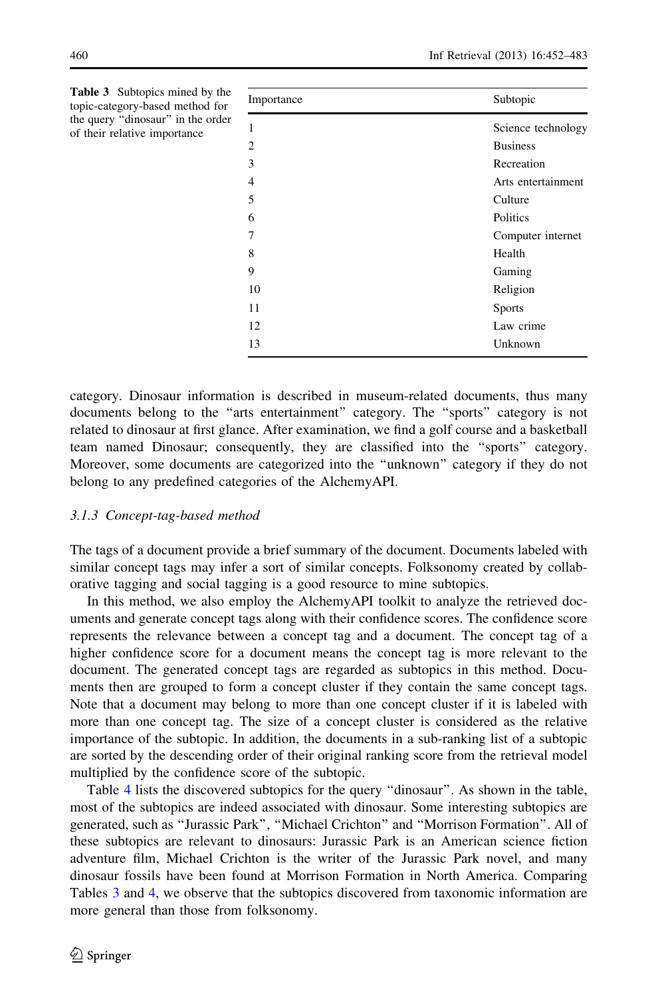| Importance | Subtopic           |  |  |  |
|------------|--------------------|--|--|--|
| 1          | Science technology |  |  |  |
| 2          | <b>Business</b>    |  |  |  |
| 3          | Recreation         |  |  |  |
| 4          | Arts entertainment |  |  |  |
| 5          | Culture            |  |  |  |
| 6          | Politics           |  |  |  |
| 7          | Computer internet  |  |  |  |
| 8          | Health             |  |  |  |
| 9          | Gaming             |  |  |  |
| 10         | Religion           |  |  |  |
| 11         | Sports             |  |  |  |
| 12         | Law crime          |  |  |  |
| 13         | Unknown            |  |  |  |

<span id="page-8-0"></span>Table 3 Subtopics mined by the topic-category-based method for the query "dinosaur" in the order of their relative importance

category. Dinosaur information is described in museum-related documents, thus many documents belong to the ''arts entertainment'' category. The ''sports'' category is not related to dinosaur at first glance. After examination, we find a golf course and a basketball team named Dinosaur; consequently, they are classified into the ''sports'' category. Moreover, some documents are categorized into the ''unknown'' category if they do not belong to any predefined categories of the AlchemyAPI.

### 3.1.3 Concept-tag-based method

The tags of a document provide a brief summary of the document. Documents labeled with similar concept tags may infer a sort of similar concepts. Folksonomy created by collaborative tagging and social tagging is a good resource to mine subtopics.

In this method, we also employ the AlchemyAPI toolkit to analyze the retrieved documents and generate concept tags along with their confidence scores. The confidence score represents the relevance between a concept tag and a document. The concept tag of a higher confidence score for a document means the concept tag is more relevant to the document. The generated concept tags are regarded as subtopics in this method. Documents then are grouped to form a concept cluster if they contain the same concept tags. Note that a document may belong to more than one concept cluster if it is labeled with more than one concept tag. The size of a concept cluster is considered as the relative importance of the subtopic. In addition, the documents in a sub-ranking list of a subtopic are sorted by the descending order of their original ranking score from the retrieval model multiplied by the confidence score of the subtopic.

Table [4](#page-9-0) lists the discovered subtopics for the query ''dinosaur''. As shown in the table, most of the subtopics are indeed associated with dinosaur. Some interesting subtopics are generated, such as ''Jurassic Park'', ''Michael Crichton'' and ''Morrison Formation''. All of these subtopics are relevant to dinosaurs: Jurassic Park is an American science fiction adventure film, Michael Crichton is the writer of the Jurassic Park novel, and many dinosaur fossils have been found at Morrison Formation in North America. Comparing Tables 3 and [4,](#page-9-0) we observe that the subtopics discovered from taxonomic information are more general than those from folksonomy.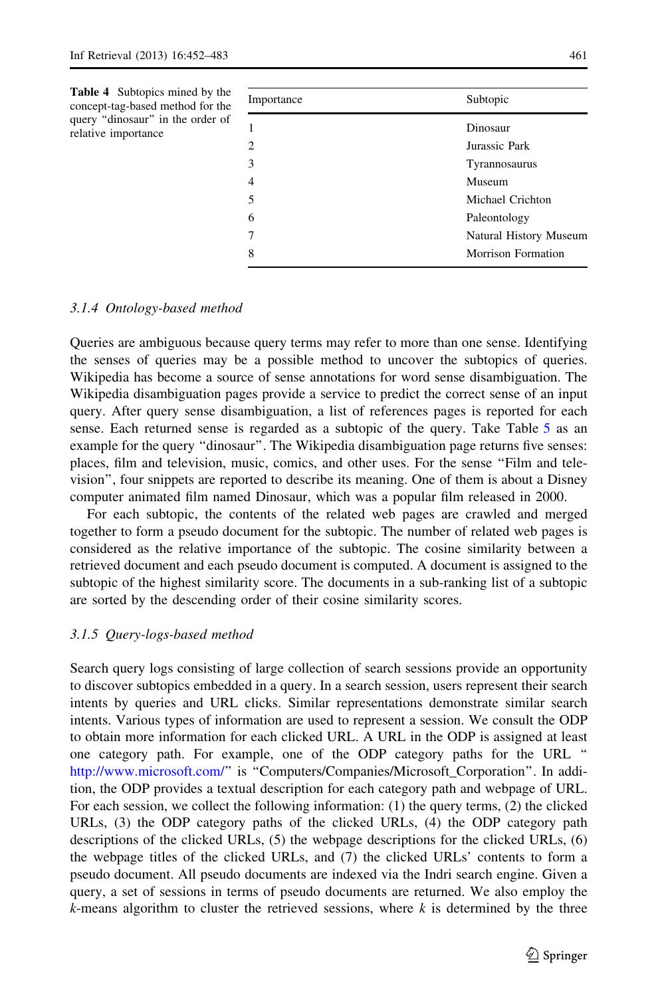<span id="page-9-0"></span>Table 4 Subtopics mined by the concept-tag-based method for the query ''dinosaur'' in the order of

relative importance

| Importance     | Subtopic               |
|----------------|------------------------|
|                | Dinosaur               |
| 2              | Jurassic Park          |
| 3              | Tyrannosaurus          |
| $\overline{4}$ | Museum                 |
| 5              | Michael Crichton       |
| 6              | Paleontology           |
| 7              | Natural History Museum |
| 8              | Morrison Formation     |
|                |                        |

#### 3.1.4 Ontology-based method

Queries are ambiguous because query terms may refer to more than one sense. Identifying the senses of queries may be a possible method to uncover the subtopics of queries. Wikipedia has become a source of sense annotations for word sense disambiguation. The Wikipedia disambiguation pages provide a service to predict the correct sense of an input query. After query sense disambiguation, a list of references pages is reported for each sense. Each returned sense is regarded as a subtopic of the query. Take Table [5](#page-10-0) as an example for the query "dinosaur". The Wikipedia disambiguation page returns five senses: places, film and television, music, comics, and other uses. For the sense ''Film and television'', four snippets are reported to describe its meaning. One of them is about a Disney computer animated film named Dinosaur, which was a popular film released in 2000.

For each subtopic, the contents of the related web pages are crawled and merged together to form a pseudo document for the subtopic. The number of related web pages is considered as the relative importance of the subtopic. The cosine similarity between a retrieved document and each pseudo document is computed. A document is assigned to the subtopic of the highest similarity score. The documents in a sub-ranking list of a subtopic are sorted by the descending order of their cosine similarity scores.

### 3.1.5 Query-logs-based method

Search query logs consisting of large collection of search sessions provide an opportunity to discover subtopics embedded in a query. In a search session, users represent their search intents by queries and URL clicks. Similar representations demonstrate similar search intents. Various types of information are used to represent a session. We consult the ODP to obtain more information for each clicked URL. A URL in the ODP is assigned at least one category path. For example, one of the ODP category paths for the URL '' <http://www.microsoft.com/>" is "Computers/Companies/Microsoft\_Corporation". In addition, the ODP provides a textual description for each category path and webpage of URL. For each session, we collect the following information: (1) the query terms, (2) the clicked URLs, (3) the ODP category paths of the clicked URLs, (4) the ODP category path descriptions of the clicked URLs, (5) the webpage descriptions for the clicked URLs, (6) the webpage titles of the clicked URLs, and (7) the clicked URLs' contents to form a pseudo document. All pseudo documents are indexed via the Indri search engine. Given a query, a set of sessions in terms of pseudo documents are returned. We also employ the k-means algorithm to cluster the retrieved sessions, where  $k$  is determined by the three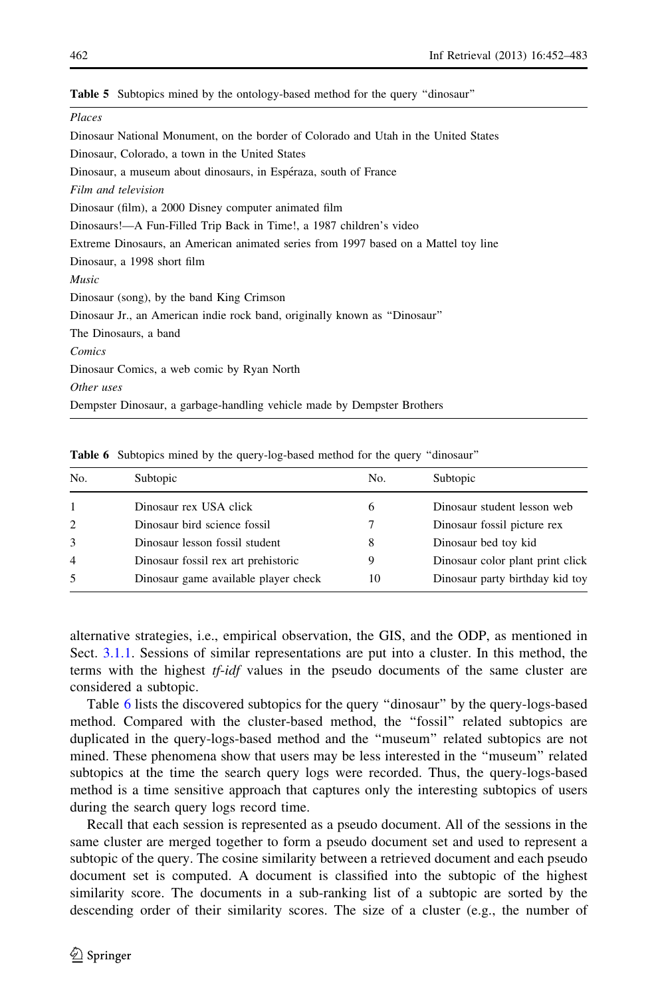| Places                                                                              |
|-------------------------------------------------------------------------------------|
| Dinosaur National Monument, on the border of Colorado and Utah in the United States |
| Dinosaur, Colorado, a town in the United States                                     |
| Dinosaur, a museum about dinosaurs, in Espéraza, south of France                    |
| Film and television                                                                 |
| Dinosaur (film), a 2000 Disney computer animated film                               |
| Dinosaurs!—A Fun-Filled Trip Back in Time!, a 1987 children's video                 |
| Extreme Dinosaurs, an American animated series from 1997 based on a Mattel toy line |
| Dinosaur, a 1998 short film                                                         |
| Music                                                                               |
| Dinosaur (song), by the band King Crimson                                           |
| Dinosaur Jr., an American indie rock band, originally known as "Dinosaur"           |
| The Dinosaurs, a band                                                               |
| Comics                                                                              |
| Dinosaur Comics, a web comic by Ryan North                                          |
| Other uses                                                                          |
| Dempster Dinosaur, a garbage-handling vehicle made by Dempster Brothers             |

<span id="page-10-0"></span>Table 5 Subtopics mined by the ontology-based method for the query ''dinosaur''

|                | $\frac{1}{2}$ and $\frac{1}{2}$ and $\frac{1}{2}$ and $\frac{1}{2}$ and $\frac{1}{2}$ and $\frac{1}{2}$ and $\frac{1}{2}$ and $\frac{1}{2}$ and $\frac{1}{2}$ |     |                                  |
|----------------|---------------------------------------------------------------------------------------------------------------------------------------------------------------|-----|----------------------------------|
| No.            | Subtopic                                                                                                                                                      | No. | Subtopic                         |
|                | Dinosaur rex USA click                                                                                                                                        | 6   | Dinosaur student lesson web      |
| 2              | Dinosaur bird science fossil                                                                                                                                  |     | Dinosaur fossil picture rex      |
| 3              | Dinosaur lesson fossil student                                                                                                                                | 8   | Dinosaur bed toy kid             |
| $\overline{4}$ | Dinosaur fossil rex art prehistoric                                                                                                                           |     | Dinosaur color plant print click |
| 5              | Dinosaur game available player check                                                                                                                          | 10  | Dinosaur party birthday kid toy  |

Table 6 Subtopics mined by the query-log-based method for the query ''dinosaur''

alternative strategies, i.e., empirical observation, the GIS, and the ODP, as mentioned in Sect. [3.1.1.](#page-5-0) Sessions of similar representations are put into a cluster. In this method, the terms with the highest tf-idf values in the pseudo documents of the same cluster are considered a subtopic.

Table 6 lists the discovered subtopics for the query ''dinosaur'' by the query-logs-based method. Compared with the cluster-based method, the ''fossil'' related subtopics are duplicated in the query-logs-based method and the ''museum'' related subtopics are not mined. These phenomena show that users may be less interested in the ''museum'' related subtopics at the time the search query logs were recorded. Thus, the query-logs-based method is a time sensitive approach that captures only the interesting subtopics of users during the search query logs record time.

Recall that each session is represented as a pseudo document. All of the sessions in the same cluster are merged together to form a pseudo document set and used to represent a subtopic of the query. The cosine similarity between a retrieved document and each pseudo document set is computed. A document is classified into the subtopic of the highest similarity score. The documents in a sub-ranking list of a subtopic are sorted by the descending order of their similarity scores. The size of a cluster (e.g., the number of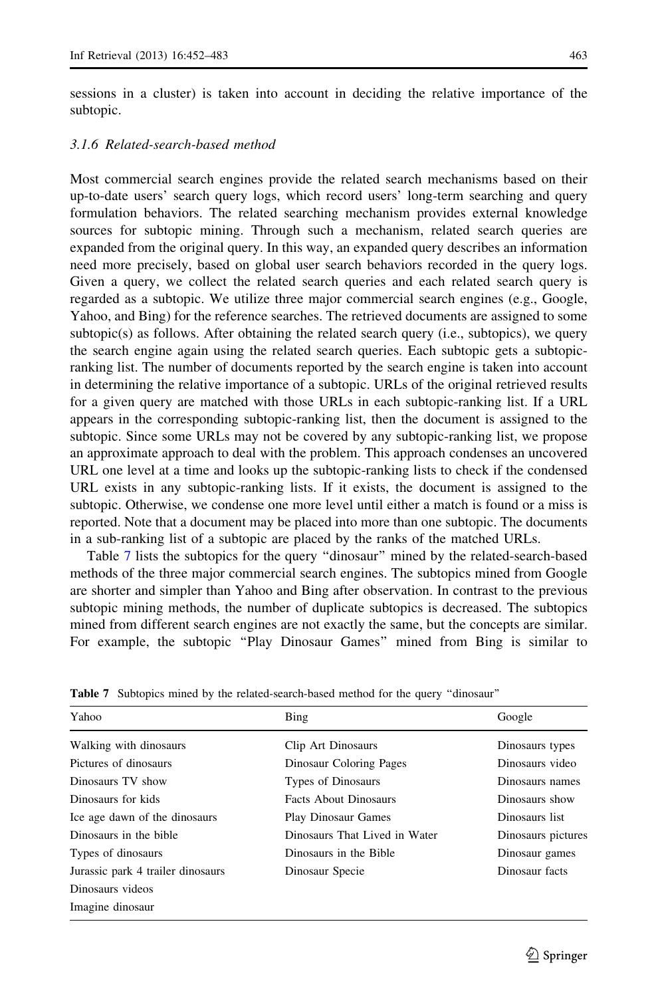sessions in a cluster) is taken into account in deciding the relative importance of the subtopic.

# 3.1.6 Related-search-based method

Most commercial search engines provide the related search mechanisms based on their up-to-date users' search query logs, which record users' long-term searching and query formulation behaviors. The related searching mechanism provides external knowledge sources for subtopic mining. Through such a mechanism, related search queries are expanded from the original query. In this way, an expanded query describes an information need more precisely, based on global user search behaviors recorded in the query logs. Given a query, we collect the related search queries and each related search query is regarded as a subtopic. We utilize three major commercial search engines (e.g., Google, Yahoo, and Bing) for the reference searches. The retrieved documents are assigned to some subtopic(s) as follows. After obtaining the related search query (i.e., subtopics), we query the search engine again using the related search queries. Each subtopic gets a subtopicranking list. The number of documents reported by the search engine is taken into account in determining the relative importance of a subtopic. URLs of the original retrieved results for a given query are matched with those URLs in each subtopic-ranking list. If a URL appears in the corresponding subtopic-ranking list, then the document is assigned to the subtopic. Since some URLs may not be covered by any subtopic-ranking list, we propose an approximate approach to deal with the problem. This approach condenses an uncovered URL one level at a time and looks up the subtopic-ranking lists to check if the condensed URL exists in any subtopic-ranking lists. If it exists, the document is assigned to the subtopic. Otherwise, we condense one more level until either a match is found or a miss is reported. Note that a document may be placed into more than one subtopic. The documents in a sub-ranking list of a subtopic are placed by the ranks of the matched URLs.

Table 7 lists the subtopics for the query ''dinosaur'' mined by the related-search-based methods of the three major commercial search engines. The subtopics mined from Google are shorter and simpler than Yahoo and Bing after observation. In contrast to the previous subtopic mining methods, the number of duplicate subtopics is decreased. The subtopics mined from different search engines are not exactly the same, but the concepts are similar. For example, the subtopic "Play Dinosaur Games" mined from Bing is similar to

| Yahoo                             | Bing                          | Google             |
|-----------------------------------|-------------------------------|--------------------|
| Walking with dinosaurs            | Clip Art Dinosaurs            | Dinosaurs types    |
| Pictures of dinosaurs             | Dinosaur Coloring Pages       | Dinosaurs video    |
| Dinosaurs TV show                 | Types of Dinosaurs            | Dinosaurs names    |
| Dinosaurs for kids                | <b>Facts About Dinosaurs</b>  | Dinosaurs show     |
| Ice age dawn of the dinosaurs     | <b>Play Dinosaur Games</b>    | Dinosaurs list     |
| Dinosaurs in the bible            | Dinosaurs That Lived in Water | Dinosaurs pictures |
| Types of dinosaurs                | Dinosaurs in the Bible        | Dinosaur games     |
| Jurassic park 4 trailer dinosaurs | Dinosaur Specie               | Dinosaur facts     |
| Dinosaurs videos                  |                               |                    |
| Imagine dinosaur                  |                               |                    |

Table 7 Subtopics mined by the related-search-based method for the query ''dinosaur''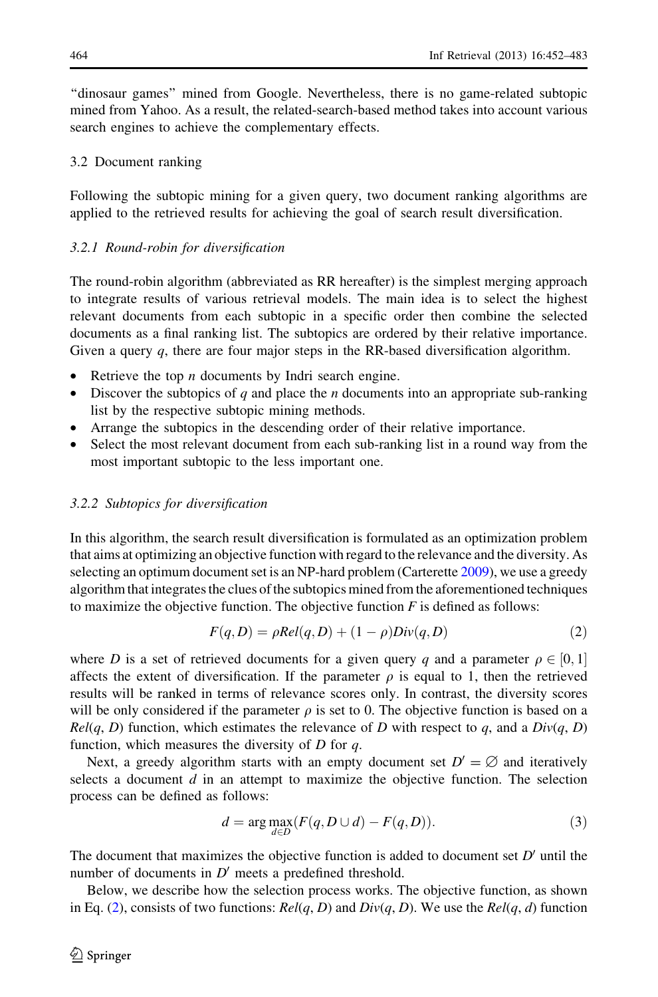<span id="page-12-0"></span>''dinosaur games'' mined from Google. Nevertheless, there is no game-related subtopic mined from Yahoo. As a result, the related-search-based method takes into account various search engines to achieve the complementary effects.

## 3.2 Document ranking

Following the subtopic mining for a given query, two document ranking algorithms are applied to the retrieved results for achieving the goal of search result diversification.

### 3.2.1 Round-robin for diversification

The round-robin algorithm (abbreviated as RR hereafter) is the simplest merging approach to integrate results of various retrieval models. The main idea is to select the highest relevant documents from each subtopic in a specific order then combine the selected documents as a final ranking list. The subtopics are ordered by their relative importance. Given a query  $q$ , there are four major steps in the RR-based diversification algorithm.

- Retrieve the top  $n$  documents by Indri search engine.
- Discover the subtopics of  $q$  and place the  $n$  documents into an appropriate sub-ranking list by the respective subtopic mining methods.
- Arrange the subtopics in the descending order of their relative importance.
- Select the most relevant document from each sub-ranking list in a round way from the most important subtopic to the less important one.

### 3.2.2 Subtopics for diversification

In this algorithm, the search result diversification is formulated as an optimization problem that aims at optimizing an objective function with regard to the relevance and the diversity. As selecting an optimum document set is an NP-hard problem (Carterette [2009\)](#page-30-0), we use a greedy algorithm that integrates the clues of the subtopics mined from the aforementioned techniques to maximize the objective function. The objective function  $F$  is defined as follows:

$$
F(q, D) = \rho Rel(q, D) + (1 - \rho)Div(q, D)
$$
\n(2)

where D is a set of retrieved documents for a given query q and a parameter  $\rho \in [0, 1]$ affects the extent of diversification. If the parameter  $\rho$  is equal to 1, then the retrieved results will be ranked in terms of relevance scores only. In contrast, the diversity scores will be only considered if the parameter  $\rho$  is set to 0. The objective function is based on a  $Rel(q, D)$  function, which estimates the relevance of D with respect to q, and a  $Div(q, D)$ function, which measures the diversity of  $D$  for  $q$ .

Next, a greedy algorithm starts with an empty document set  $D' = \emptyset$  and iteratively selects a document  $d$  in an attempt to maximize the objective function. The selection process can be defined as follows:

$$
d = \arg \max_{d \in D} (F(q, D \cup d) - F(q, D)).
$$
\n(3)

The document that maximizes the objective function is added to document set  $D'$  until the number of documents in  $D'$  meets a predefined threshold.

Below, we describe how the selection process works. The objective function, as shown in Eq. (2), consists of two functions:  $Rel(q, D)$  and  $Div(q, D)$ . We use the  $Rel(q, d)$  function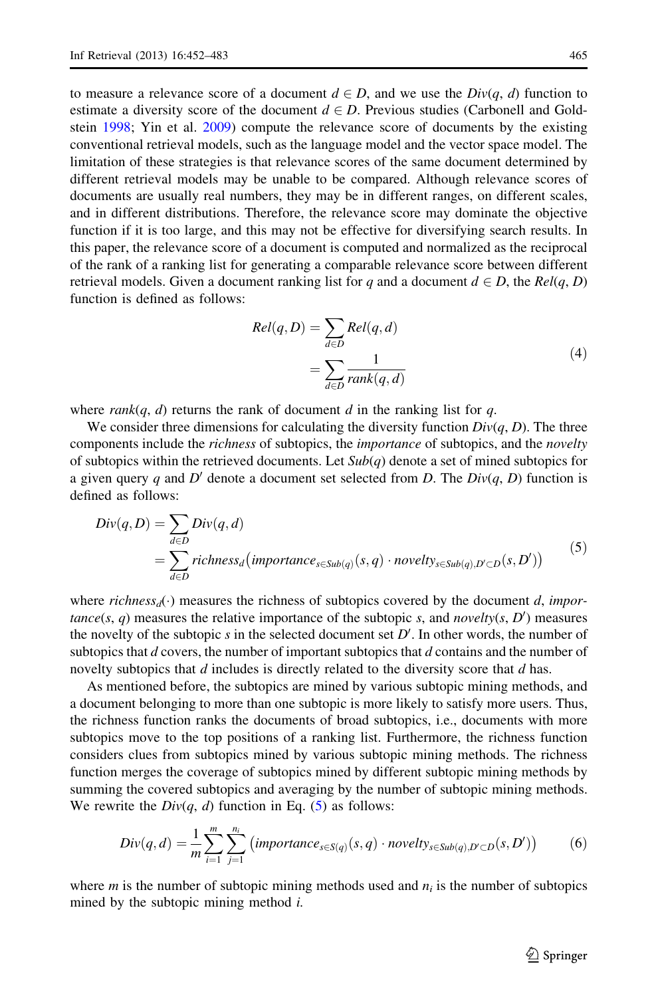<span id="page-13-0"></span>to measure a relevance score of a document  $d \in D$ , and we use the  $Div(q, d)$  function to estimate a diversity score of the document  $d \in D$ . Previous studies (Carbonell and Goldstein [1998](#page-30-0); Yin et al. [2009](#page-31-0)) compute the relevance score of documents by the existing conventional retrieval models, such as the language model and the vector space model. The limitation of these strategies is that relevance scores of the same document determined by different retrieval models may be unable to be compared. Although relevance scores of documents are usually real numbers, they may be in different ranges, on different scales, and in different distributions. Therefore, the relevance score may dominate the objective function if it is too large, and this may not be effective for diversifying search results. In this paper, the relevance score of a document is computed and normalized as the reciprocal of the rank of a ranking list for generating a comparable relevance score between different retrieval models. Given a document ranking list for q and a document  $d \in D$ , the Rel(q, D) function is defined as follows:

$$
Rel(q, D) = \sum_{d \in D} Rel(q, d)
$$

$$
= \sum_{d \in D} \frac{1}{rank(q, d)}
$$
(4)

where rank $(q, d)$  returns the rank of document d in the ranking list for q.

We consider three dimensions for calculating the diversity function  $Div(q, D)$ . The three components include the *richness* of subtopics, the *importance* of subtopics, and the *novelty* of subtopics within the retrieved documents. Let  $\text{Sub}(q)$  denote a set of mined subtopics for a given query q and D' denote a document set selected from D. The  $Div(q, D)$  function is defined as follows:

$$
Div(q, D) = \sum_{d \in D} Div(q, d)
$$
  
= 
$$
\sum_{d \in D} richness_d(importance_{s \in Sub(q)}(s, q) \cdot novelty_{s \in Sub(q), D' \subset D}(s, D'))
$$
 (5)

where  $richness_d(\cdot)$  measures the richness of subtopics covered by the document d, impor $tance(s, q)$  measures the relative importance of the subtopic s, and novelty(s,  $D'$ ) measures the novelty of the subtopic  $s$  in the selected document set  $D'$ . In other words, the number of subtopics that  $d$  covers, the number of important subtopics that  $d$  contains and the number of novelty subtopics that  $d$  includes is directly related to the diversity score that  $d$  has.

As mentioned before, the subtopics are mined by various subtopic mining methods, and a document belonging to more than one subtopic is more likely to satisfy more users. Thus, the richness function ranks the documents of broad subtopics, i.e., documents with more subtopics move to the top positions of a ranking list. Furthermore, the richness function considers clues from subtopics mined by various subtopic mining methods. The richness function merges the coverage of subtopics mined by different subtopic mining methods by summing the covered subtopics and averaging by the number of subtopic mining methods. We rewrite the  $Div(q, d)$  function in Eq. (5) as follows:

$$
Div(q, d) = \frac{1}{m} \sum_{i=1}^{m} \sum_{j=1}^{n_i} (importance_{s \in S(q)}(s, q) \cdot novelty_{s \in Sub(q), D' \subset D}(s, D')) \tag{6}
$$

where *m* is the number of subtopic mining methods used and  $n_i$  is the number of subtopics mined by the subtopic mining method i.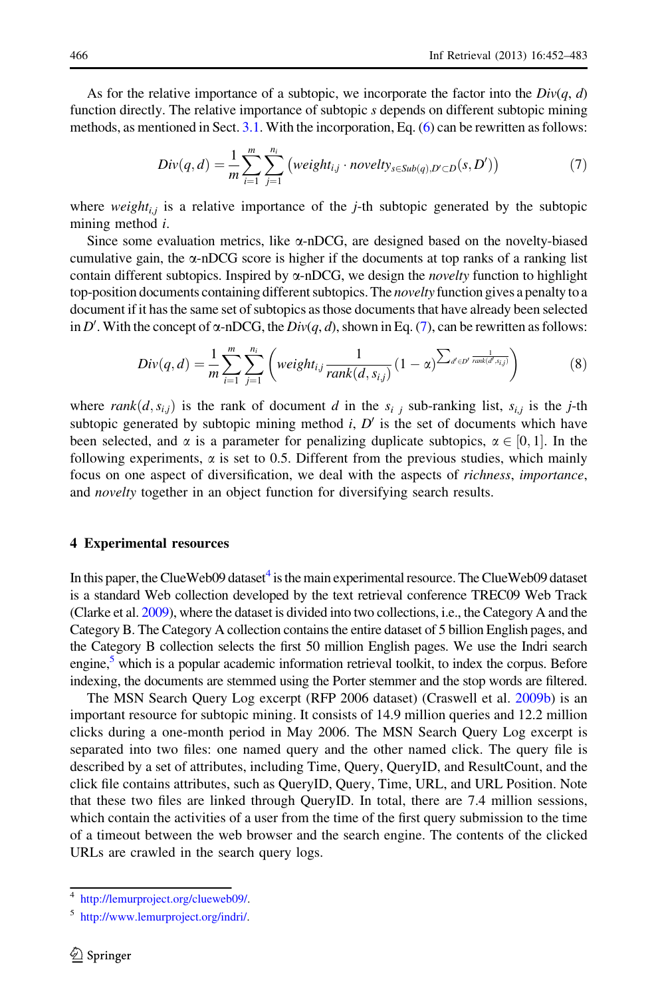<span id="page-14-0"></span>As for the relative importance of a subtopic, we incorporate the factor into the  $Div(q, d)$ function directly. The relative importance of subtopic s depends on different subtopic mining methods, as mentioned in Sect. [3.1](#page-5-0). With the incorporation, Eq. ([6](#page-13-0)) can be rewritten as follows:

$$
Div(q, d) = \frac{1}{m} \sum_{i=1}^{m} \sum_{j=1}^{n_i} \left( weight_{i,j} \cdot novelty_{s \in Sub(q), D' \subset D}(s, D')\right) \tag{7}
$$

where weight<sub>ij</sub> is a relative importance of the j-th subtopic generated by the subtopic mining method *i*.

Since some evaluation metrics, like  $\alpha$ -nDCG, are designed based on the novelty-biased cumulative gain, the  $\alpha$ -nDCG score is higher if the documents at top ranks of a ranking list contain different subtopics. Inspired by  $\alpha$ -nDCG, we design the *novelty* function to highlight top-position documents containing different subtopics. The *novelty* function gives a penalty to a document if it has the same set of subtopics as those documents that have already been selected in D'. With the concept of  $\alpha$ -nDCG, the  $Div(q, d)$ , shown in Eq. (7), can be rewritten as follows:

$$
Div(q, d) = \frac{1}{m} \sum_{i=1}^{m} \sum_{j=1}^{n_i} \left( weight_{ij} \frac{1}{rank(d, s_{i,j})} (1 - \alpha) \sum_{d' \in D'} \frac{1}{rank(d', s_{i,j})} \right)
$$
(8)

where rank $(d, s_{i,j})$  is the rank of document d in the  $s_{i,j}$  sub-ranking list,  $s_{i,j}$  is the j-th subtopic generated by subtopic mining method i,  $D'$  is the set of documents which have been selected, and  $\alpha$  is a parameter for penalizing duplicate subtopics,  $\alpha \in [0, 1]$ . In the following experiments,  $\alpha$  is set to 0.5. Different from the previous studies, which mainly focus on one aspect of diversification, we deal with the aspects of richness, importance, and *novelty* together in an object function for diversifying search results.

### 4 Experimental resources

In this paper, the ClueWeb09 dataset<sup>4</sup> is the main experimental resource. The ClueWeb09 dataset is a standard Web collection developed by the text retrieval conference TREC09 Web Track (Clarke et al. [2009\)](#page-30-0), where the dataset is divided into two collections, i.e., the Category A and the Category B. The Category A collection contains the entire dataset of 5 billion English pages, and the Category B collection selects the first 50 million English pages. We use the Indri search engine,<sup>5</sup> which is a popular academic information retrieval toolkit, to index the corpus. Before indexing, the documents are stemmed using the Porter stemmer and the stop words are filtered.

The MSN Search Query Log excerpt (RFP 2006 dataset) (Craswell et al. [2009b\)](#page-30-0) is an important resource for subtopic mining. It consists of 14.9 million queries and 12.2 million clicks during a one-month period in May 2006. The MSN Search Query Log excerpt is separated into two files: one named query and the other named click. The query file is described by a set of attributes, including Time, Query, QueryID, and ResultCount, and the click file contains attributes, such as QueryID, Query, Time, URL, and URL Position. Note that these two files are linked through QueryID. In total, there are 7.4 million sessions, which contain the activities of a user from the time of the first query submission to the time of a timeout between the web browser and the search engine. The contents of the clicked URLs are crawled in the search query logs.

<sup>4</sup> <http://lemurproject.org/clueweb09/>.

<sup>5</sup> [http://www.lemurproject.org/indri/.](http://www.lemurproject.org/indri/)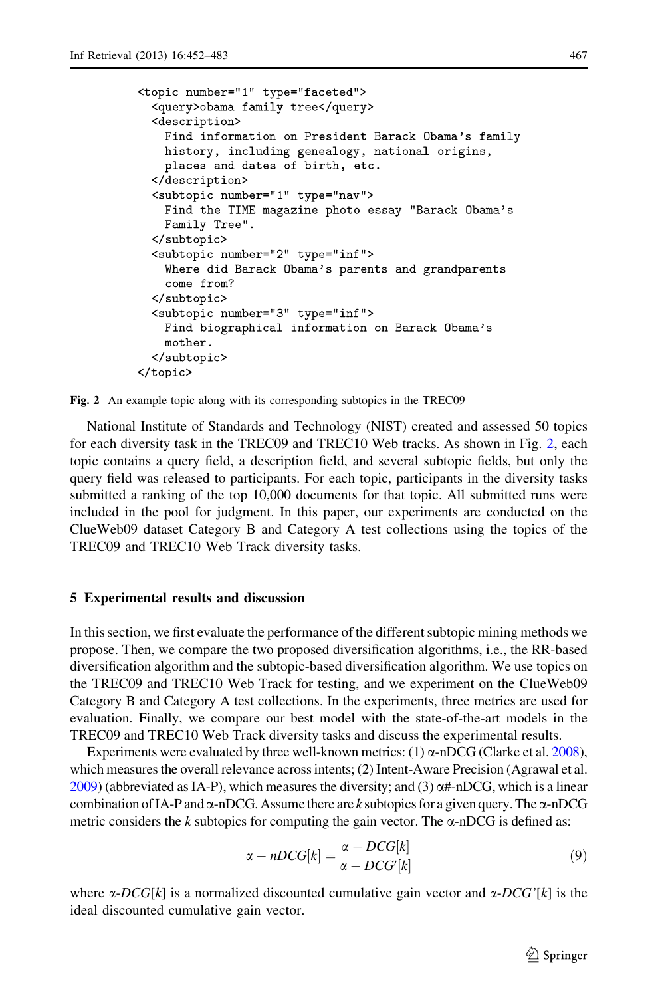```
<topic number="1" type="faceted">
  <query>obama family tree</query>
  <description>
    Find information on President Barack Obama's family
   history, including genealogy, national origins,
    places and dates of birth, etc.
  </description>
  <subtopic number="1" type="nav">
    Find the TIME magazine photo essay "Barack Obama's
    Family Tree".
  </subtopic>
  <subtopic number="2" type="inf">
    Where did Barack Obama's parents and grandparents
    come from?
  </subtopic>
  <subtopic number="3" type="inf">
    Find biographical information on Barack Obama's
   mother.
  </subtopic>
</topic>
```
Fig. 2 An example topic along with its corresponding subtopics in the TREC09

National Institute of Standards and Technology (NIST) created and assessed 50 topics for each diversity task in the TREC09 and TREC10 Web tracks. As shown in Fig. 2, each topic contains a query field, a description field, and several subtopic fields, but only the query field was released to participants. For each topic, participants in the diversity tasks submitted a ranking of the top 10,000 documents for that topic. All submitted runs were included in the pool for judgment. In this paper, our experiments are conducted on the ClueWeb09 dataset Category B and Category A test collections using the topics of the TREC09 and TREC10 Web Track diversity tasks.

### 5 Experimental results and discussion

In this section, we first evaluate the performance of the different subtopic mining methods we propose. Then, we compare the two proposed diversification algorithms, i.e., the RR-based diversification algorithm and the subtopic-based diversification algorithm. We use topics on the TREC09 and TREC10 Web Track for testing, and we experiment on the ClueWeb09 Category B and Category A test collections. In the experiments, three metrics are used for evaluation. Finally, we compare our best model with the state-of-the-art models in the TREC09 and TREC10 Web Track diversity tasks and discuss the experimental results.

Experiments were evaluated by three well-known metrics: (1)  $\alpha$ -nDCG (Clarke et al. [2008](#page-30-0)), which measures the overall relevance across intents; (2) Intent-Aware Precision (Agrawal et al.  $2009$ ) (abbreviated as IA-P), which measures the diversity; and (3)  $\alpha$ #-nDCG, which is a linear combination of IA-P and  $\alpha$ -nDCG. Assume there are k subtopics for a given query. The  $\alpha$ -nDCG metric considers the k subtopics for computing the gain vector. The  $\alpha$ -nDCG is defined as:

$$
\alpha - nDCG[k] = \frac{\alpha - DCG[k]}{\alpha - DCG'[k]} \tag{9}
$$

where  $\alpha$ -DCG[k] is a normalized discounted cumulative gain vector and  $\alpha$ -DCG'[k] is the ideal discounted cumulative gain vector.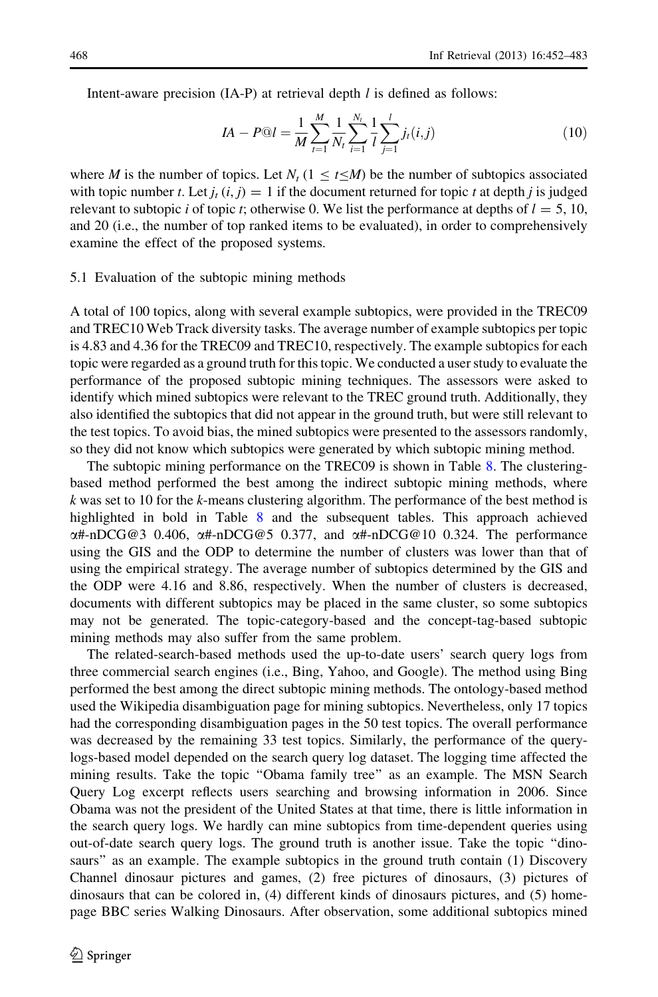Intent-aware precision (IA-P) at retrieval depth  $l$  is defined as follows:

$$
IA - P@l = \frac{1}{M} \sum_{t=1}^{M} \frac{1}{N_t} \sum_{i=1}^{N_t} \frac{1}{l} \sum_{j=1}^{l} j_t(i,j)
$$
(10)

where M is the number of topics. Let  $N_t$  ( $1 \le t \le M$ ) be the number of subtopics associated with topic number t. Let  $j_t$   $(i, j) = 1$  if the document returned for topic t at depth j is judged relevant to subtopic i of topic t; otherwise 0. We list the performance at depths of  $l = 5, 10$ , and 20 (i.e., the number of top ranked items to be evaluated), in order to comprehensively examine the effect of the proposed systems.

### 5.1 Evaluation of the subtopic mining methods

A total of 100 topics, along with several example subtopics, were provided in the TREC09 and TREC10 Web Track diversity tasks. The average number of example subtopics per topic is 4.83 and 4.36 for the TREC09 and TREC10, respectively. The example subtopics for each topic were regarded as a ground truth for this topic. We conducted a user study to evaluate the performance of the proposed subtopic mining techniques. The assessors were asked to identify which mined subtopics were relevant to the TREC ground truth. Additionally, they also identified the subtopics that did not appear in the ground truth, but were still relevant to the test topics. To avoid bias, the mined subtopics were presented to the assessors randomly, so they did not know which subtopics were generated by which subtopic mining method.

The subtopic mining performance on the TREC09 is shown in Table [8](#page-17-0). The clusteringbased method performed the best among the indirect subtopic mining methods, where  $k$  was set to 10 for the  $k$ -means clustering algorithm. The performance of the best method is highlighted in bold in Table [8](#page-17-0) and the subsequent tables. This approach achieved  $\alpha$ #-nDCG@3 0.406,  $\alpha$ #-nDCG@5 0.377, and  $\alpha$ #-nDCG@10 0.324. The performance using the GIS and the ODP to determine the number of clusters was lower than that of using the empirical strategy. The average number of subtopics determined by the GIS and the ODP were 4.16 and 8.86, respectively. When the number of clusters is decreased, documents with different subtopics may be placed in the same cluster, so some subtopics may not be generated. The topic-category-based and the concept-tag-based subtopic mining methods may also suffer from the same problem.

The related-search-based methods used the up-to-date users' search query logs from three commercial search engines (i.e., Bing, Yahoo, and Google). The method using Bing performed the best among the direct subtopic mining methods. The ontology-based method used the Wikipedia disambiguation page for mining subtopics. Nevertheless, only 17 topics had the corresponding disambiguation pages in the 50 test topics. The overall performance was decreased by the remaining 33 test topics. Similarly, the performance of the querylogs-based model depended on the search query log dataset. The logging time affected the mining results. Take the topic "Obama family tree" as an example. The MSN Search Query Log excerpt reflects users searching and browsing information in 2006. Since Obama was not the president of the United States at that time, there is little information in the search query logs. We hardly can mine subtopics from time-dependent queries using out-of-date search query logs. The ground truth is another issue. Take the topic ''dinosaurs'' as an example. The example subtopics in the ground truth contain (1) Discovery Channel dinosaur pictures and games, (2) free pictures of dinosaurs, (3) pictures of dinosaurs that can be colored in, (4) different kinds of dinosaurs pictures, and (5) homepage BBC series Walking Dinosaurs. After observation, some additional subtopics mined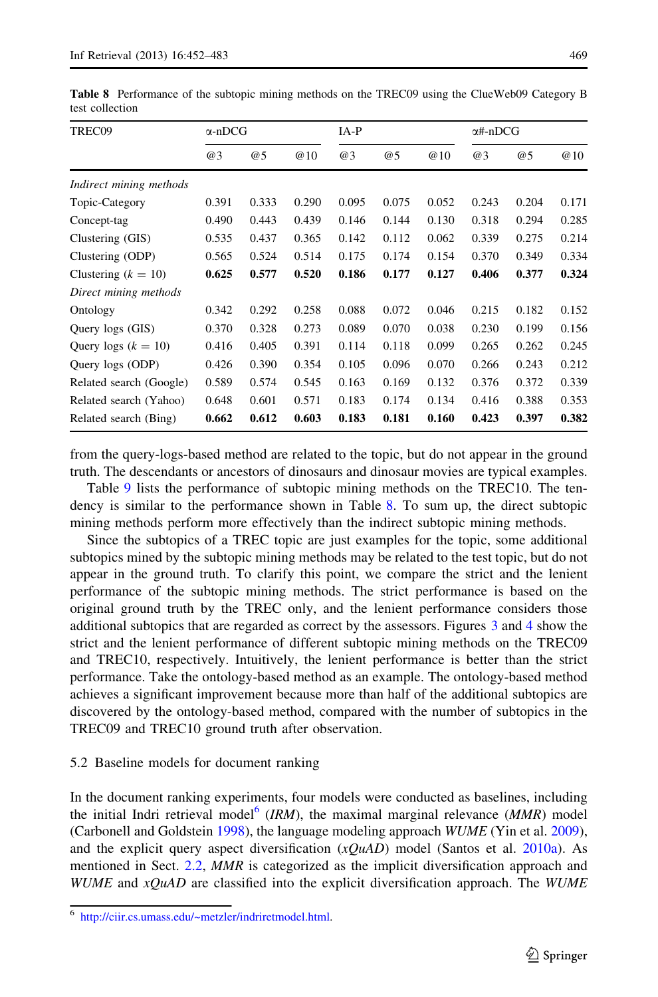| TREC09                  | $\alpha$ -nDCG |       |       | IA-P  |       |            | $\alpha$ #-nDCG |       |       |
|-------------------------|----------------|-------|-------|-------|-------|------------|-----------------|-------|-------|
|                         | @3             | @5    | @10   | @3    | @5    | <b>@10</b> | @3              | @5    | @10   |
| Indirect mining methods |                |       |       |       |       |            |                 |       |       |
| Topic-Category          | 0.391          | 0.333 | 0.290 | 0.095 | 0.075 | 0.052      | 0.243           | 0.204 | 0.171 |
| Concept-tag             | 0.490          | 0.443 | 0.439 | 0.146 | 0.144 | 0.130      | 0.318           | 0.294 | 0.285 |
| Clustering (GIS)        | 0.535          | 0.437 | 0.365 | 0.142 | 0.112 | 0.062      | 0.339           | 0.275 | 0.214 |
| Clustering (ODP)        | 0.565          | 0.524 | 0.514 | 0.175 | 0.174 | 0.154      | 0.370           | 0.349 | 0.334 |
| Clustering $(k = 10)$   | 0.625          | 0.577 | 0.520 | 0.186 | 0.177 | 0.127      | 0.406           | 0.377 | 0.324 |
| Direct mining methods   |                |       |       |       |       |            |                 |       |       |
| Ontology                | 0.342          | 0.292 | 0.258 | 0.088 | 0.072 | 0.046      | 0.215           | 0.182 | 0.152 |
| Query logs (GIS)        | 0.370          | 0.328 | 0.273 | 0.089 | 0.070 | 0.038      | 0.230           | 0.199 | 0.156 |
| Query logs $(k = 10)$   | 0.416          | 0.405 | 0.391 | 0.114 | 0.118 | 0.099      | 0.265           | 0.262 | 0.245 |
| Query logs (ODP)        | 0.426          | 0.390 | 0.354 | 0.105 | 0.096 | 0.070      | 0.266           | 0.243 | 0.212 |
| Related search (Google) | 0.589          | 0.574 | 0.545 | 0.163 | 0.169 | 0.132      | 0.376           | 0.372 | 0.339 |
| Related search (Yahoo)  | 0.648          | 0.601 | 0.571 | 0.183 | 0.174 | 0.134      | 0.416           | 0.388 | 0.353 |
| Related search (Bing)   | 0.662          | 0.612 | 0.603 | 0.183 | 0.181 | 0.160      | 0.423           | 0.397 | 0.382 |

<span id="page-17-0"></span>Table 8 Performance of the subtopic mining methods on the TREC09 using the ClueWeb09 Category B test collection

from the query-logs-based method are related to the topic, but do not appear in the ground truth. The descendants or ancestors of dinosaurs and dinosaur movies are typical examples.

Table [9](#page-18-0) lists the performance of subtopic mining methods on the TREC10. The tendency is similar to the performance shown in Table 8. To sum up, the direct subtopic mining methods perform more effectively than the indirect subtopic mining methods.

Since the subtopics of a TREC topic are just examples for the topic, some additional subtopics mined by the subtopic mining methods may be related to the test topic, but do not appear in the ground truth. To clarify this point, we compare the strict and the lenient performance of the subtopic mining methods. The strict performance is based on the original ground truth by the TREC only, and the lenient performance considers those additional subtopics that are regarded as correct by the assessors. Figures [3](#page-18-0) and [4](#page-19-0) show the strict and the lenient performance of different subtopic mining methods on the TREC09 and TREC10, respectively. Intuitively, the lenient performance is better than the strict performance. Take the ontology-based method as an example. The ontology-based method achieves a significant improvement because more than half of the additional subtopics are discovered by the ontology-based method, compared with the number of subtopics in the TREC09 and TREC10 ground truth after observation.

### 5.2 Baseline models for document ranking

In the document ranking experiments, four models were conducted as baselines, including the initial Indri retrieval model<sup>6</sup> (*IRM*), the maximal marginal relevance (*MMR*) model (Carbonell and Goldstein [1998\)](#page-30-0), the language modeling approach WUME (Yin et al. [2009](#page-31-0)), and the explicit query aspect diversification  $(xQuAD)$  model (Santos et al. [2010a](#page-31-0)). As mentioned in Sect. [2.2](#page-3-0), MMR is categorized as the implicit diversification approach and WUME and  $xQuAD$  are classified into the explicit diversification approach. The WUME

<sup>6</sup> <http://ciir.cs.umass.edu/~metzler/indriretmodel.html>.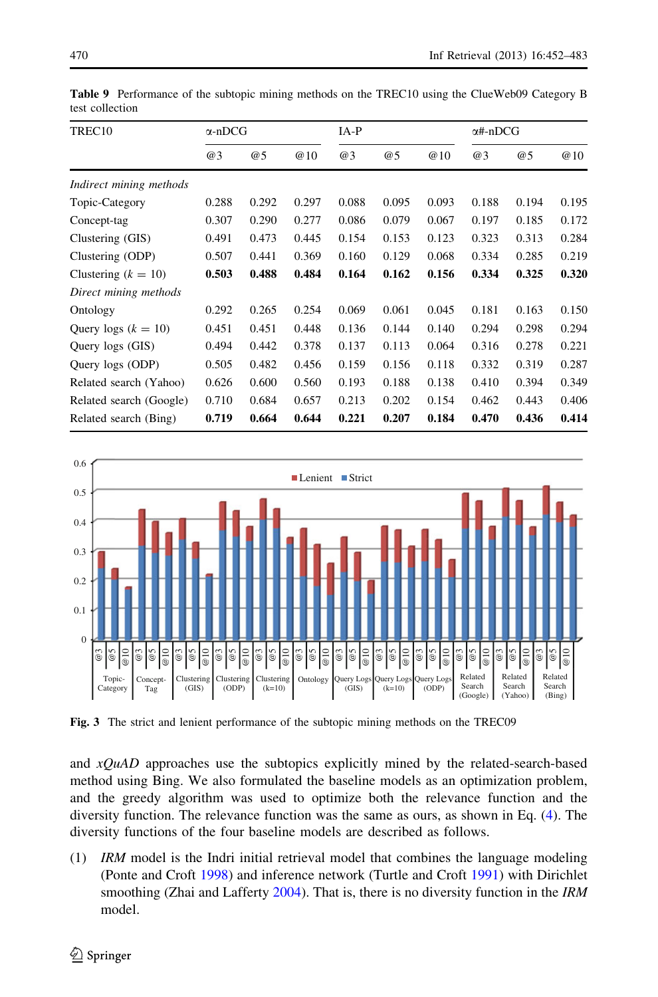| TREC <sub>10</sub>      | $\alpha$ -nDCG |       |            | IA-P  |       |       | $\alpha$ #-nDCG |       |       |
|-------------------------|----------------|-------|------------|-------|-------|-------|-----------------|-------|-------|
|                         | @3             | @5    | <b>@10</b> | @3    | @5    | @10   | @3              | @5    | @10   |
| Indirect mining methods |                |       |            |       |       |       |                 |       |       |
| Topic-Category          | 0.288          | 0.292 | 0.297      | 0.088 | 0.095 | 0.093 | 0.188           | 0.194 | 0.195 |
| Concept-tag             | 0.307          | 0.290 | 0.277      | 0.086 | 0.079 | 0.067 | 0.197           | 0.185 | 0.172 |
| Clustering (GIS)        | 0.491          | 0.473 | 0.445      | 0.154 | 0.153 | 0.123 | 0.323           | 0.313 | 0.284 |
| Clustering (ODP)        | 0.507          | 0.441 | 0.369      | 0.160 | 0.129 | 0.068 | 0.334           | 0.285 | 0.219 |
| Clustering $(k = 10)$   | 0.503          | 0.488 | 0.484      | 0.164 | 0.162 | 0.156 | 0.334           | 0.325 | 0.320 |
| Direct mining methods   |                |       |            |       |       |       |                 |       |       |
| Ontology                | 0.292          | 0.265 | 0.254      | 0.069 | 0.061 | 0.045 | 0.181           | 0.163 | 0.150 |
| Query logs $(k = 10)$   | 0.451          | 0.451 | 0.448      | 0.136 | 0.144 | 0.140 | 0.294           | 0.298 | 0.294 |
| Query logs (GIS)        | 0.494          | 0.442 | 0.378      | 0.137 | 0.113 | 0.064 | 0.316           | 0.278 | 0.221 |
| Query logs (ODP)        | 0.505          | 0.482 | 0.456      | 0.159 | 0.156 | 0.118 | 0.332           | 0.319 | 0.287 |
| Related search (Yahoo)  | 0.626          | 0.600 | 0.560      | 0.193 | 0.188 | 0.138 | 0.410           | 0.394 | 0.349 |
| Related search (Google) | 0.710          | 0.684 | 0.657      | 0.213 | 0.202 | 0.154 | 0.462           | 0.443 | 0.406 |
| Related search (Bing)   | 0.719          | 0.664 | 0.644      | 0.221 | 0.207 | 0.184 | 0.470           | 0.436 | 0.414 |

<span id="page-18-0"></span>Table 9 Performance of the subtopic mining methods on the TREC10 using the ClueWeb09 Category B test collection



Fig. 3 The strict and lenient performance of the subtopic mining methods on the TREC09

and  $xQuAD$  approaches use the subtopics explicitly mined by the related-search-based method using Bing. We also formulated the baseline models as an optimization problem, and the greedy algorithm was used to optimize both the relevance function and the diversity function. The relevance function was the same as ours, as shown in Eq. ([4](#page-13-0)). The diversity functions of the four baseline models are described as follows.

(1) IRM model is the Indri initial retrieval model that combines the language modeling (Ponte and Croft [1998\)](#page-31-0) and inference network (Turtle and Croft [1991](#page-31-0)) with Dirichlet smoothing (Zhai and Lafferty [2004](#page-31-0)). That is, there is no diversity function in the IRM model.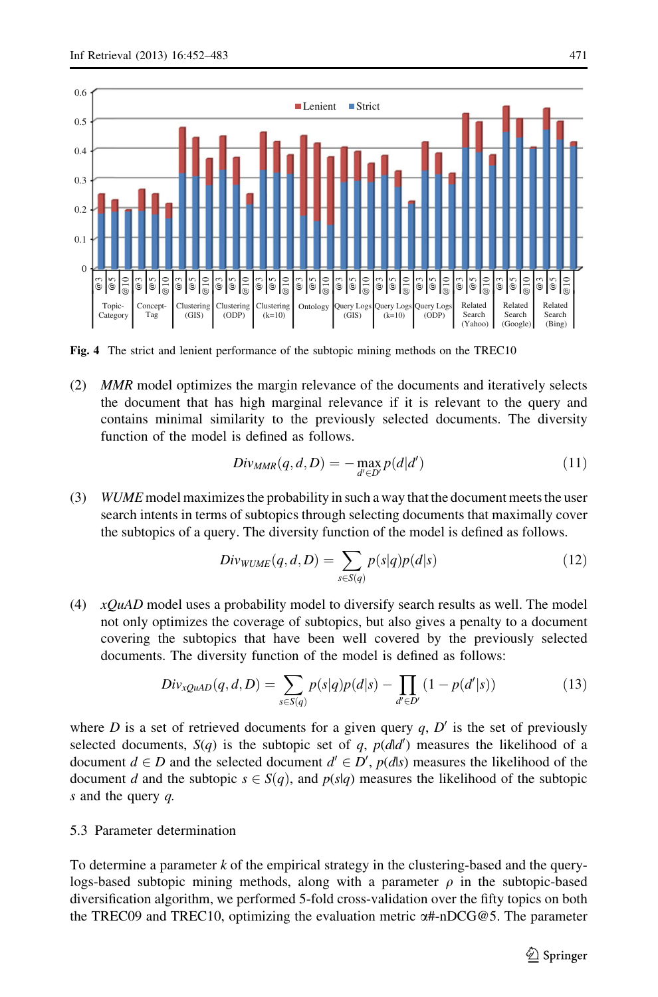<span id="page-19-0"></span>

Fig. 4 The strict and lenient performance of the subtopic mining methods on the TREC10

(2) MMR model optimizes the margin relevance of the documents and iteratively selects the document that has high marginal relevance if it is relevant to the query and contains minimal similarity to the previously selected documents. The diversity function of the model is defined as follows.

$$
Div_{MMR}(q, d, D) = -\max_{d' \in D'} p(d|d')
$$
\n(11)

 $(3)$  WUME model maximizes the probability in such a way that the document meets the user search intents in terms of subtopics through selecting documents that maximally cover the subtopics of a query. The diversity function of the model is defined as follows.

$$
Div_{WUME}(q, d, D) = \sum_{s \in S(q)} p(s|q) p(d|s)
$$
\n(12)

(4)  $xQuAD$  model uses a probability model to diversify search results as well. The model not only optimizes the coverage of subtopics, but also gives a penalty to a document covering the subtopics that have been well covered by the previously selected documents. The diversity function of the model is defined as follows:

$$
Div_{xQuAD}(q, d, D) = \sum_{s \in S(q)} p(s|q)p(d|s) - \prod_{d' \in D'} (1 - p(d'|s))
$$
 (13)

where D is a set of retrieved documents for a given query q,  $D'$  is the set of previously selected documents,  $S(q)$  is the subtopic set of q,  $p(d|d')$  measures the likelihood of a document  $d \in D$  and the selected document  $d' \in D'$ ,  $p(d|s)$  measures the likelihood of the document d and the subtopic  $s \in S(q)$ , and  $p(slq)$  measures the likelihood of the subtopic s and the query q.

5.3 Parameter determination

To determine a parameter  $k$  of the empirical strategy in the clustering-based and the querylogs-based subtopic mining methods, along with a parameter  $\rho$  in the subtopic-based diversification algorithm, we performed 5-fold cross-validation over the fifty topics on both the TREC09 and TREC10, optimizing the evaluation metric a#-nDCG@5. The parameter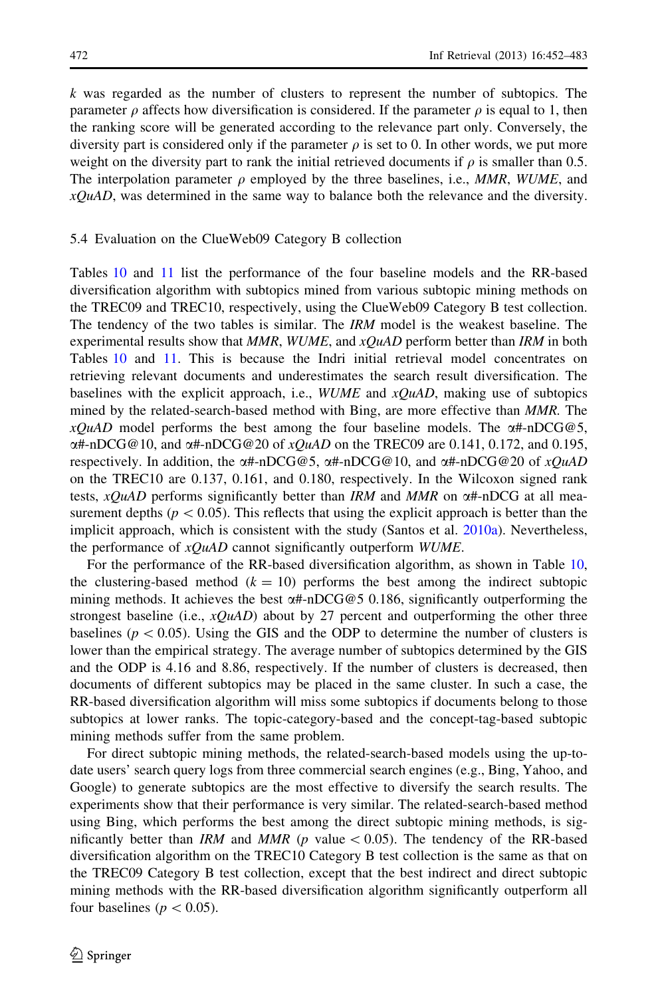$k$  was regarded as the number of clusters to represent the number of subtopics. The parameter  $\rho$  affects how diversification is considered. If the parameter  $\rho$  is equal to 1, then the ranking score will be generated according to the relevance part only. Conversely, the diversity part is considered only if the parameter  $\rho$  is set to 0. In other words, we put more weight on the diversity part to rank the initial retrieved documents if  $\rho$  is smaller than 0.5. The interpolation parameter  $\rho$  employed by the three baselines, i.e., *MMR*, *WUME*, and  $xQuAD$ , was determined in the same way to balance both the relevance and the diversity.

### 5.4 Evaluation on the ClueWeb09 Category B collection

Tables [10](#page-21-0) and [11](#page-22-0) list the performance of the four baseline models and the RR-based diversification algorithm with subtopics mined from various subtopic mining methods on the TREC09 and TREC10, respectively, using the ClueWeb09 Category B test collection. The tendency of the two tables is similar. The IRM model is the weakest baseline. The experimental results show that  $MMR$ ,  $WUME$ , and  $xQuAD$  perform better than IRM in both Tables [10](#page-21-0) and [11.](#page-22-0) This is because the Indri initial retrieval model concentrates on retrieving relevant documents and underestimates the search result diversification. The baselines with the explicit approach, i.e.,  $WUME$  and  $xQuAD$ , making use of subtopics mined by the related-search-based method with Bing, are more effective than *MMR*. The  $xQuAD$  model performs the best among the four baseline models. The  $\alpha\#$ -nDCG@5,  $\alpha$ #-nDCG@10, and  $\alpha$ #-nDCG@20 of  $xQuAD$  on the TREC09 are 0.141, 0.172, and 0.195, respectively. In addition, the  $\alpha$ #-nDCG@5,  $\alpha$ #-nDCG@10, and  $\alpha$ #-nDCG@20 of  $xQuAD$ on the TREC10 are 0.137, 0.161, and 0.180, respectively. In the Wilcoxon signed rank tests,  $xQuAD$  performs significantly better than IRM and MMR on  $\alpha$ #-nDCG at all measurement depths ( $p<0.05$ ). This reflects that using the explicit approach is better than the implicit approach, which is consistent with the study (Santos et al. [2010a\)](#page-31-0). Nevertheless, the performance of  $xQuAD$  cannot significantly outperform WUME.

For the performance of the RR-based diversification algorithm, as shown in Table [10](#page-21-0), the clustering-based method  $(k = 10)$  performs the best among the indirect subtopic mining methods. It achieves the best  $\alpha$ #-nDCG@5 0.186, significantly outperforming the strongest baseline (i.e.,  $xQuAD$ ) about by 27 percent and outperforming the other three baselines ( $p\lt 0.05$ ). Using the GIS and the ODP to determine the number of clusters is lower than the empirical strategy. The average number of subtopics determined by the GIS and the ODP is 4.16 and 8.86, respectively. If the number of clusters is decreased, then documents of different subtopics may be placed in the same cluster. In such a case, the RR-based diversification algorithm will miss some subtopics if documents belong to those subtopics at lower ranks. The topic-category-based and the concept-tag-based subtopic mining methods suffer from the same problem.

For direct subtopic mining methods, the related-search-based models using the up-todate users' search query logs from three commercial search engines (e.g., Bing, Yahoo, and Google) to generate subtopics are the most effective to diversify the search results. The experiments show that their performance is very similar. The related-search-based method using Bing, which performs the best among the direct subtopic mining methods, is significantly better than *IRM* and *MMR* (p value  $\lt$  0.05). The tendency of the RR-based diversification algorithm on the TREC10 Category B test collection is the same as that on the TREC09 Category B test collection, except that the best indirect and direct subtopic mining methods with the RR-based diversification algorithm significantly outperform all four baselines ( $p<0.05$ ).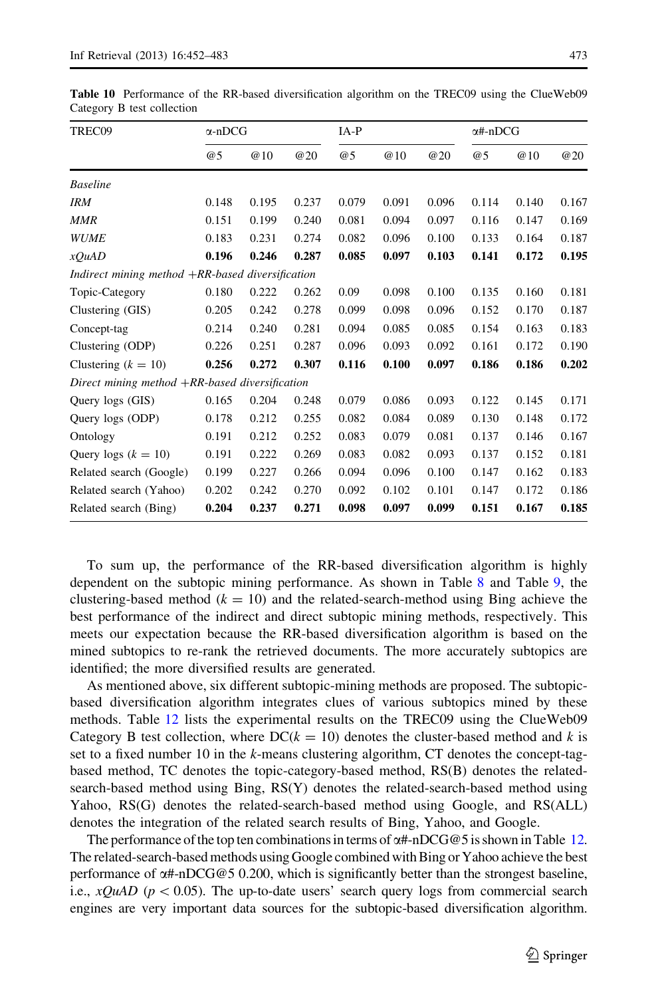| TREC09<br><b>Baseline</b><br><b>IRM</b><br><b>MMR</b><br><b>WUME</b><br>xOuAD | $\alpha$ -nDCG |       |       | $IA-P$ |       |       | $\alpha$ #-nDCG |       |       |
|-------------------------------------------------------------------------------|----------------|-------|-------|--------|-------|-------|-----------------|-------|-------|
|                                                                               | @5             | @10   | @20   | @5     | @10   | @20   | @5              | @10   | @20   |
|                                                                               |                |       |       |        |       |       |                 |       |       |
|                                                                               | 0.148          | 0.195 | 0.237 | 0.079  | 0.091 | 0.096 | 0.114           | 0.140 | 0.167 |
|                                                                               | 0.151          | 0.199 | 0.240 | 0.081  | 0.094 | 0.097 | 0.116           | 0.147 | 0.169 |
|                                                                               | 0.183          | 0.231 | 0.274 | 0.082  | 0.096 | 0.100 | 0.133           | 0.164 | 0.187 |
|                                                                               | 0.196          | 0.246 | 0.287 | 0.085  | 0.097 | 0.103 | 0.141           | 0.172 | 0.195 |
| Indirect mining method $+RR$ -based diversification                           |                |       |       |        |       |       |                 |       |       |
| Topic-Category                                                                | 0.180          | 0.222 | 0.262 | 0.09   | 0.098 | 0.100 | 0.135           | 0.160 | 0.181 |
| Clustering (GIS)                                                              | 0.205          | 0.242 | 0.278 | 0.099  | 0.098 | 0.096 | 0.152           | 0.170 | 0.187 |
| Concept-tag                                                                   | 0.214          | 0.240 | 0.281 | 0.094  | 0.085 | 0.085 | 0.154           | 0.163 | 0.183 |
| Clustering (ODP)                                                              | 0.226          | 0.251 | 0.287 | 0.096  | 0.093 | 0.092 | 0.161           | 0.172 | 0.190 |
| Clustering $(k = 10)$                                                         | 0.256          | 0.272 | 0.307 | 0.116  | 0.100 | 0.097 | 0.186           | 0.186 | 0.202 |
| Direct mining method $+RR$ -based diversification                             |                |       |       |        |       |       |                 |       |       |
| Query logs (GIS)                                                              | 0.165          | 0.204 | 0.248 | 0.079  | 0.086 | 0.093 | 0.122           | 0.145 | 0.171 |
| Query logs (ODP)                                                              | 0.178          | 0.212 | 0.255 | 0.082  | 0.084 | 0.089 | 0.130           | 0.148 | 0.172 |
| Ontology                                                                      | 0.191          | 0.212 | 0.252 | 0.083  | 0.079 | 0.081 | 0.137           | 0.146 | 0.167 |
| Query logs $(k = 10)$                                                         | 0.191          | 0.222 | 0.269 | 0.083  | 0.082 | 0.093 | 0.137           | 0.152 | 0.181 |
| Related search (Google)                                                       | 0.199          | 0.227 | 0.266 | 0.094  | 0.096 | 0.100 | 0.147           | 0.162 | 0.183 |
| Related search (Yahoo)                                                        | 0.202          | 0.242 | 0.270 | 0.092  | 0.102 | 0.101 | 0.147           | 0.172 | 0.186 |
| Related search (Bing)                                                         | 0.204          | 0.237 | 0.271 | 0.098  | 0.097 | 0.099 | 0.151           | 0.167 | 0.185 |

<span id="page-21-0"></span>Table 10 Performance of the RR-based diversification algorithm on the TREC09 using the ClueWeb09 Category B test collection

To sum up, the performance of the RR-based diversification algorithm is highly dependent on the subtopic mining performance. As shown in Table [8](#page-17-0) and Table [9,](#page-18-0) the clustering-based method ( $k = 10$ ) and the related-search-method using Bing achieve the best performance of the indirect and direct subtopic mining methods, respectively. This meets our expectation because the RR-based diversification algorithm is based on the mined subtopics to re-rank the retrieved documents. The more accurately subtopics are identified; the more diversified results are generated.

As mentioned above, six different subtopic-mining methods are proposed. The subtopicbased diversification algorithm integrates clues of various subtopics mined by these methods. Table [12](#page-23-0) lists the experimental results on the TREC09 using the ClueWeb09 Category B test collection, where  $DC(k = 10)$  denotes the cluster-based method and k is set to a fixed number 10 in the  $k$ -means clustering algorithm, CT denotes the concept-tagbased method, TC denotes the topic-category-based method, RS(B) denotes the relatedsearch-based method using Bing, RS(Y) denotes the related-search-based method using Yahoo, RS(G) denotes the related-search-based method using Google, and RS(ALL) denotes the integration of the related search results of Bing, Yahoo, and Google.

The performance of the top ten combinations in terms of  $\alpha$ #-nDCG@5 is shown in Table [12](#page-23-0). The related-search-based methods using Google combined with Bing or Yahoo achieve the best performance of a#-nDCG@5 0.200, which is significantly better than the strongest baseline, i.e.,  $xQuAD$  ( $p < 0.05$ ). The up-to-date users' search query logs from commercial search engines are very important data sources for the subtopic-based diversification algorithm.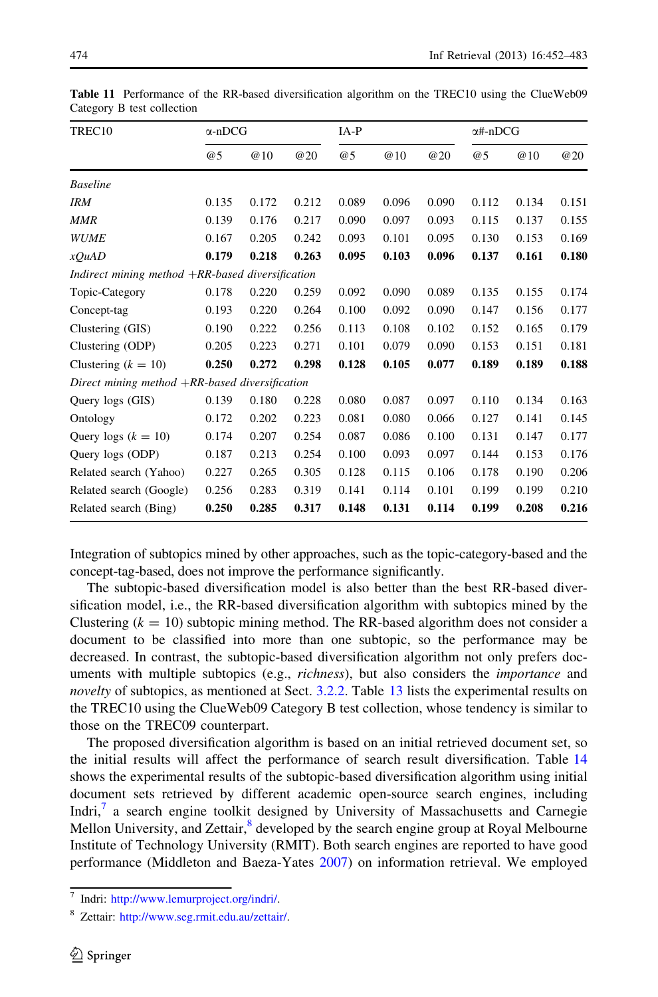| TREC <sub>10</sub><br><b>Baseline</b><br><b>IRM</b><br><b>MMR</b><br><b>WUME</b><br>xQuAD<br>Topic-Category | $\alpha$ -nDCG |       |       | $IA-P$ |       |            | $\alpha$ #-nDCG |       |       |
|-------------------------------------------------------------------------------------------------------------|----------------|-------|-------|--------|-------|------------|-----------------|-------|-------|
|                                                                                                             | @5             | @10   | @20   | @5     | @10   | <b>@20</b> | @5              | @10   | @20   |
|                                                                                                             |                |       |       |        |       |            |                 |       |       |
|                                                                                                             | 0.135          | 0.172 | 0.212 | 0.089  | 0.096 | 0.090      | 0.112           | 0.134 | 0.151 |
|                                                                                                             | 0.139          | 0.176 | 0.217 | 0.090  | 0.097 | 0.093      | 0.115           | 0.137 | 0.155 |
|                                                                                                             | 0.167          | 0.205 | 0.242 | 0.093  | 0.101 | 0.095      | 0.130           | 0.153 | 0.169 |
|                                                                                                             | 0.179          | 0.218 | 0.263 | 0.095  | 0.103 | 0.096      | 0.137           | 0.161 | 0.180 |
| Indirect mining method $+RR$ -based diversification                                                         |                |       |       |        |       |            |                 |       |       |
|                                                                                                             | 0.178          | 0.220 | 0.259 | 0.092  | 0.090 | 0.089      | 0.135           | 0.155 | 0.174 |
| Concept-tag                                                                                                 | 0.193          | 0.220 | 0.264 | 0.100  | 0.092 | 0.090      | 0.147           | 0.156 | 0.177 |
| Clustering (GIS)                                                                                            | 0.190          | 0.222 | 0.256 | 0.113  | 0.108 | 0.102      | 0.152           | 0.165 | 0.179 |
| Clustering (ODP)                                                                                            | 0.205          | 0.223 | 0.271 | 0.101  | 0.079 | 0.090      | 0.153           | 0.151 | 0.181 |
| Clustering $(k = 10)$                                                                                       | 0.250          | 0.272 | 0.298 | 0.128  | 0.105 | 0.077      | 0.189           | 0.189 | 0.188 |
| Direct mining method $+RR$ -based diversification                                                           |                |       |       |        |       |            |                 |       |       |
| Query logs (GIS)                                                                                            | 0.139          | 0.180 | 0.228 | 0.080  | 0.087 | 0.097      | 0.110           | 0.134 | 0.163 |
| Ontology                                                                                                    | 0.172          | 0.202 | 0.223 | 0.081  | 0.080 | 0.066      | 0.127           | 0.141 | 0.145 |
| Query logs $(k = 10)$                                                                                       | 0.174          | 0.207 | 0.254 | 0.087  | 0.086 | 0.100      | 0.131           | 0.147 | 0.177 |
| Query logs (ODP)                                                                                            | 0.187          | 0.213 | 0.254 | 0.100  | 0.093 | 0.097      | 0.144           | 0.153 | 0.176 |
| Related search (Yahoo)                                                                                      | 0.227          | 0.265 | 0.305 | 0.128  | 0.115 | 0.106      | 0.178           | 0.190 | 0.206 |
| Related search (Google)                                                                                     | 0.256          | 0.283 | 0.319 | 0.141  | 0.114 | 0.101      | 0.199           | 0.199 | 0.210 |
| Related search (Bing)                                                                                       | 0.250          | 0.285 | 0.317 | 0.148  | 0.131 | 0.114      | 0.199           | 0.208 | 0.216 |

<span id="page-22-0"></span>Table 11 Performance of the RR-based diversification algorithm on the TREC10 using the ClueWeb09 Category B test collection

Integration of subtopics mined by other approaches, such as the topic-category-based and the concept-tag-based, does not improve the performance significantly.

The subtopic-based diversification model is also better than the best RR-based diversification model, i.e., the RR-based diversification algorithm with subtopics mined by the Clustering  $(k = 10)$  subtopic mining method. The RR-based algorithm does not consider a document to be classified into more than one subtopic, so the performance may be decreased. In contrast, the subtopic-based diversification algorithm not only prefers documents with multiple subtopics (e.g., *richness*), but also considers the *importance* and novelty of subtopics, as mentioned at Sect. [3.2.2](#page-12-0). Table [13](#page-24-0) lists the experimental results on the TREC10 using the ClueWeb09 Category B test collection, whose tendency is similar to those on the TREC09 counterpart.

The proposed diversification algorithm is based on an initial retrieved document set, so the initial results will affect the performance of search result diversification. Table [14](#page-24-0) shows the experimental results of the subtopic-based diversification algorithm using initial document sets retrieved by different academic open-source search engines, including Indri, $\frac{7}{1}$  a search engine toolkit designed by University of Massachusetts and Carnegie Mellon University, and Zettair,<sup>8</sup> developed by the search engine group at Royal Melbourne Institute of Technology University (RMIT). Both search engines are reported to have good performance (Middleton and Baeza-Yates [2007](#page-31-0)) on information retrieval. We employed

<sup>7</sup> Indri: <http://www.lemurproject.org/indri/>.

<sup>8</sup> Zettair: [http://www.seg.rmit.edu.au/zettair/.](http://www.seg.rmit.edu.au/zettair/)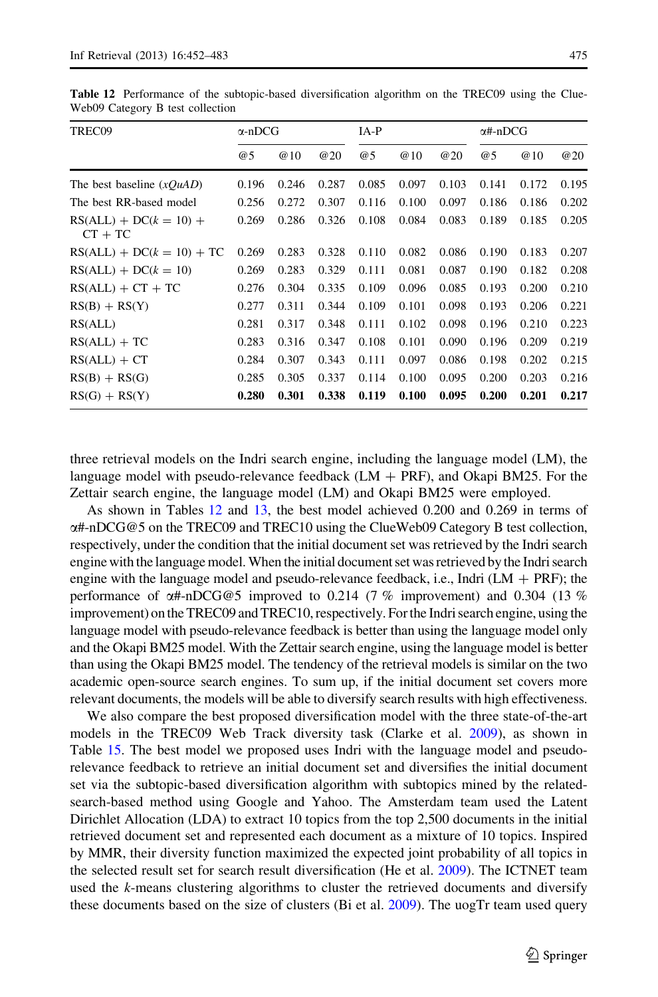| TREC09                                |       | $\alpha$ -nDCG |            |           |       |            | $\alpha$ #-nDCG |            |            |
|---------------------------------------|-------|----------------|------------|-----------|-------|------------|-----------------|------------|------------|
|                                       | @5    | @10            | <b>@20</b> | <b>@5</b> | @10   | <b>@20</b> | @5              | <b>@10</b> | <b>@20</b> |
| The best baseline $(xOuAD)$           | 0.196 | 0.246          | 0.287      | 0.085     | 0.097 | 0.103      | 0.141           | 0.172      | 0.195      |
| The best RR-based model               | 0.256 | 0.272          | 0.307      | 0.116     | 0.100 | 0.097      | 0.186           | 0.186      | 0.202      |
| $RS(ALL) + DC(k = 10) +$<br>$CT + TC$ | 0.269 | 0.286          | 0.326      | 0.108     | 0.084 | 0.083      | 0.189           | 0.185      | 0.205      |
| $RS(ALL) + DC(k = 10) + TC$           | 0.269 | 0.283          | 0.328      | 0.110     | 0.082 | 0.086      | 0.190           | 0.183      | 0.207      |
| $RS(ALL) + DC(k = 10)$                | 0.269 | 0.283          | 0.329      | 0.111     | 0.081 | 0.087      | 0.190           | 0.182      | 0.208      |
| $RS(ALL) + CT + TC$                   | 0.276 | 0.304          | 0.335      | 0.109     | 0.096 | 0.085      | 0.193           | 0.200      | 0.210      |
| $RS(B) + RS(Y)$                       | 0.277 | 0.311          | 0.344      | 0.109     | 0.101 | 0.098      | 0.193           | 0.206      | 0.221      |
| RS(ALL)                               | 0.281 | 0.317          | 0.348      | 0.111     | 0.102 | 0.098      | 0.196           | 0.210      | 0.223      |
| $RS(ALL) + TC$                        | 0.283 | 0.316          | 0.347      | 0.108     | 0.101 | 0.090      | 0.196           | 0.209      | 0.219      |
| $RS(ALL) + CT$                        | 0.284 | 0.307          | 0.343      | 0.111     | 0.097 | 0.086      | 0.198           | 0.202      | 0.215      |
| $RS(B) + RS(G)$                       | 0.285 | 0.305          | 0.337      | 0.114     | 0.100 | 0.095      | 0.200           | 0.203      | 0.216      |
| $RS(G) + RS(Y)$                       | 0.280 | 0.301          | 0.338      | 0.119     | 0.100 | 0.095      | 0.200           | 0.201      | 0.217      |

<span id="page-23-0"></span>Table 12 Performance of the subtopic-based diversification algorithm on the TREC09 using the Clue-Web09 Category B test collection

three retrieval models on the Indri search engine, including the language model (LM), the language model with pseudo-relevance feedback  $(LM + PRF)$ , and Okapi BM25. For the Zettair search engine, the language model (LM) and Okapi BM25 were employed.

As shown in Tables 12 and [13,](#page-24-0) the best model achieved 0.200 and 0.269 in terms of a#-nDCG@5 on the TREC09 and TREC10 using the ClueWeb09 Category B test collection, respectively, under the condition that the initial document set was retrieved by the Indri search engine with the language model. When the initial document set was retrieved by the Indri search engine with the language model and pseudo-relevance feedback, i.e., Indri  $(LM + PRF)$ ; the performance of  $\alpha$ #-nDCG@5 improved to 0.214 (7 % improvement) and 0.304 (13 % improvement) on the TREC09 and TREC10, respectively. For the Indri search engine, using the language model with pseudo-relevance feedback is better than using the language model only and the Okapi BM25 model. With the Zettair search engine, using the language model is better than using the Okapi BM25 model. The tendency of the retrieval models is similar on the two academic open-source search engines. To sum up, if the initial document set covers more relevant documents, the models will be able to diversify search results with high effectiveness.

We also compare the best proposed diversification model with the three state-of-the-art models in the TREC09 Web Track diversity task (Clarke et al. [2009\)](#page-30-0), as shown in Table [15](#page-25-0). The best model we proposed uses Indri with the language model and pseudorelevance feedback to retrieve an initial document set and diversifies the initial document set via the subtopic-based diversification algorithm with subtopics mined by the relatedsearch-based method using Google and Yahoo. The Amsterdam team used the Latent Dirichlet Allocation (LDA) to extract 10 topics from the top 2,500 documents in the initial retrieved document set and represented each document as a mixture of 10 topics. Inspired by MMR, their diversity function maximized the expected joint probability of all topics in the selected result set for search result diversification (He et al. [2009\)](#page-30-0). The ICTNET team used the k-means clustering algorithms to cluster the retrieved documents and diversify these documents based on the size of clusters (Bi et al. [2009](#page-30-0)). The uogTr team used query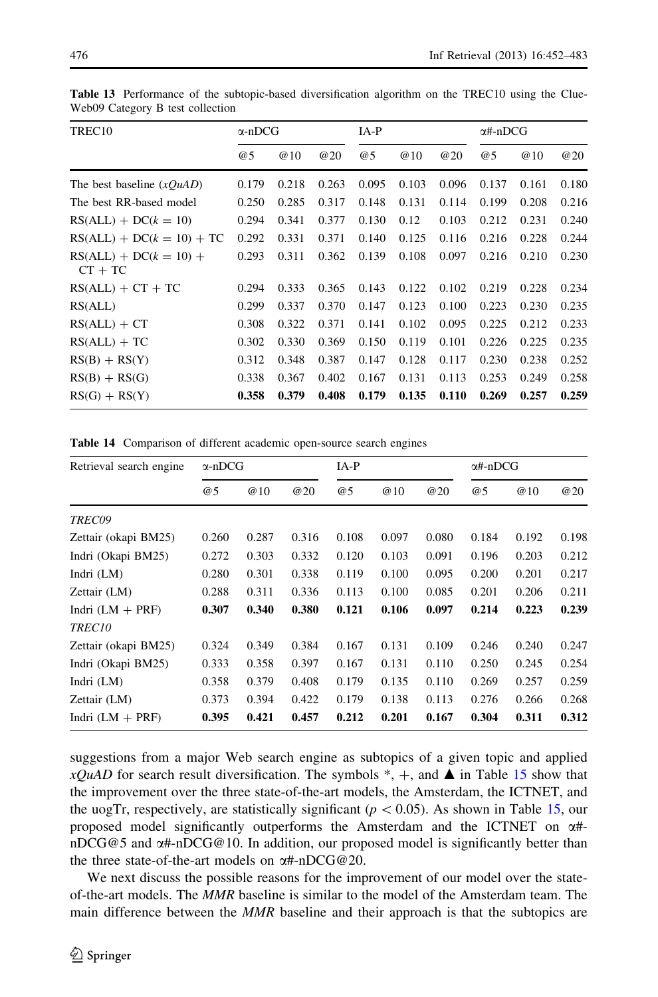| TREC <sub>10</sub>                    | $\alpha$ -n $DCG$ |       |            | $IA-P$    |       |       | $\alpha$ #-nDCG |            |            |
|---------------------------------------|-------------------|-------|------------|-----------|-------|-------|-----------------|------------|------------|
|                                       | <b>@5</b>         | @10   | <b>@20</b> | <b>@5</b> | @10   | @20   | @5              | <b>@10</b> | <b>@20</b> |
| The best baseline $(xQuAD)$           | 0.179             | 0.218 | 0.263      | 0.095     | 0.103 | 0.096 | 0.137           | 0.161      | 0.180      |
| The best RR-based model               | 0.250             | 0.285 | 0.317      | 0.148     | 0.131 | 0.114 | 0.199           | 0.208      | 0.216      |
| $RS(ALL) + DC(k = 10)$                | 0.294             | 0.341 | 0.377      | 0.130     | 0.12  | 0.103 | 0.212           | 0.231      | 0.240      |
| $RS(ALL) + DC(k = 10) + TC$           | 0.292             | 0.331 | 0.371      | 0.140     | 0.125 | 0.116 | 0.216           | 0.228      | 0.244      |
| $RS(ALL) + DC(k = 10) +$<br>$CT + TC$ | 0.293             | 0.311 | 0.362      | 0.139     | 0.108 | 0.097 | 0.216           | 0.210      | 0.230      |
| $RS(ALL) + CT + TC$                   | 0.294             | 0.333 | 0.365      | 0.143     | 0.122 | 0.102 | 0.219           | 0.228      | 0.234      |
| RS(ALL)                               | 0.299             | 0.337 | 0.370      | 0.147     | 0.123 | 0.100 | 0.223           | 0.230      | 0.235      |
| $RS(ALL) + CT$                        | 0.308             | 0.322 | 0.371      | 0.141     | 0.102 | 0.095 | 0.225           | 0.212      | 0.233      |
| $RS(ALL) + TC$                        | 0.302             | 0.330 | 0.369      | 0.150     | 0.119 | 0.101 | 0.226           | 0.225      | 0.235      |
| $RS(B) + RS(Y)$                       | 0.312             | 0.348 | 0.387      | 0.147     | 0.128 | 0.117 | 0.230           | 0.238      | 0.252      |
| $RS(B) + RS(G)$                       | 0.338             | 0.367 | 0.402      | 0.167     | 0.131 | 0.113 | 0.253           | 0.249      | 0.258      |
| $RS(G) + RS(Y)$                       | 0.358             | 0.379 | 0.408      | 0.179     | 0.135 | 0.110 | 0.269           | 0.257      | 0.259      |

<span id="page-24-0"></span>Table 13 Performance of the subtopic-based diversification algorithm on the TREC10 using the Clue-Web09 Category B test collection

Table 14 Comparison of different academic open-source search engines

| Retrieval search engine | $\alpha$ -nDCG |       |       | IA-P  |       |            |       | $\alpha$ #-nDCG |            |  |
|-------------------------|----------------|-------|-------|-------|-------|------------|-------|-----------------|------------|--|
|                         | @5             | @10   | @20   | @5    | @10   | <b>@20</b> | @5    | <b>@10</b>      | <b>@20</b> |  |
| <b>TREC09</b>           |                |       |       |       |       |            |       |                 |            |  |
| Zettair (okapi BM25)    | 0.260          | 0.287 | 0.316 | 0.108 | 0.097 | 0.080      | 0.184 | 0.192           | 0.198      |  |
| Indri (Okapi BM25)      | 0.272          | 0.303 | 0.332 | 0.120 | 0.103 | 0.091      | 0.196 | 0.203           | 0.212      |  |
| Indri (LM)              | 0.280          | 0.301 | 0.338 | 0.119 | 0.100 | 0.095      | 0.200 | 0.201           | 0.217      |  |
| Zettair (LM)            | 0.288          | 0.311 | 0.336 | 0.113 | 0.100 | 0.085      | 0.201 | 0.206           | 0.211      |  |
| Indri $(LM + PRF)$      | 0.307          | 0.340 | 0.380 | 0.121 | 0.106 | 0.097      | 0.214 | 0.223           | 0.239      |  |
| <b>TREC10</b>           |                |       |       |       |       |            |       |                 |            |  |
| Zettair (okapi BM25)    | 0.324          | 0.349 | 0.384 | 0.167 | 0.131 | 0.109      | 0.246 | 0.240           | 0.247      |  |
| Indri (Okapi BM25)      | 0.333          | 0.358 | 0.397 | 0.167 | 0.131 | 0.110      | 0.250 | 0.245           | 0.254      |  |
| Indri $(LM)$            | 0.358          | 0.379 | 0.408 | 0.179 | 0.135 | 0.110      | 0.269 | 0.257           | 0.259      |  |
| Zettair (LM)            | 0.373          | 0.394 | 0.422 | 0.179 | 0.138 | 0.113      | 0.276 | 0.266           | 0.268      |  |
| Indri $(LM + PRF)$      | 0.395          | 0.421 | 0.457 | 0.212 | 0.201 | 0.167      | 0.304 | 0.311           | 0.312      |  |

suggestions from a major Web search engine as subtopics of a given topic and applied  $xQuAD$  for search result diversification. The symbols  $*, +$ , and  $\blacktriangle$  in Table [15](#page-25-0) show that the improvement over the three state-of-the-art models, the Amsterdam, the ICTNET, and the uogTr, respectively, are statistically significant ( $p < 0.05$ ). As shown in Table [15,](#page-25-0) our proposed model significantly outperforms the Amsterdam and the ICTNET on  $\alpha$ # $nDCG@5$  and  $\alpha\#nDCG@10$ . In addition, our proposed model is significantly better than the three state-of-the-art models on a#-nDCG@20.

We next discuss the possible reasons for the improvement of our model over the stateof-the-art models. The MMR baseline is similar to the model of the Amsterdam team. The main difference between the *MMR* baseline and their approach is that the subtopics are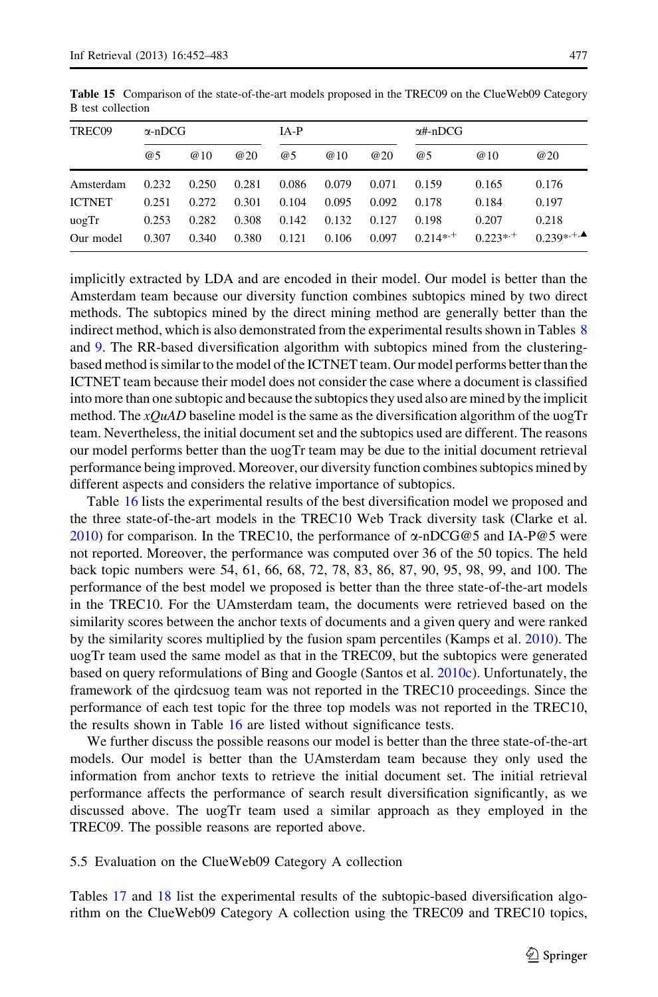| TREC09        |       | $\alpha$ -nDCG |            |       | IA-P  |            |            | $\alpha$ #-nDCG |                              |  |
|---------------|-------|----------------|------------|-------|-------|------------|------------|-----------------|------------------------------|--|
|               | @5    | @10            | <b>@20</b> | @5    | @10   | <b>@20</b> | @5         | @10             | @20                          |  |
| Amsterdam     | 0.232 | 0.250          | 0.281      | 0.086 | 0.079 | 0.071      | 0.159      | 0.165           | 0.176                        |  |
| <b>ICTNET</b> | 0.251 | 0.272          | 0.301      | 0.104 | 0.095 | 0.092      | 0.178      | 0.184           | 0.197                        |  |
| uogTr         | 0.253 | 0.282          | 0.308      | 0.142 | 0.132 | 0.127      | 0.198      | 0.207           | 0.218                        |  |
| Our model     | 0.307 | 0.340          | 0.380      | 0.121 | 0.106 | 0.097      | $0.214***$ | $0.223**+$      | $0.239^{*,+,\blacktriangle}$ |  |

<span id="page-25-0"></span>Table 15 Comparison of the state-of-the-art models proposed in the TREC09 on the ClueWeb09 Category B test collection

implicitly extracted by LDA and are encoded in their model. Our model is better than the Amsterdam team because our diversity function combines subtopics mined by two direct methods. The subtopics mined by the direct mining method are generally better than the indirect method, which is also demonstrated from the experimental results shown in Tables [8](#page-17-0) and [9](#page-18-0). The RR-based diversification algorithm with subtopics mined from the clusteringbased method is similar to the model of the ICTNET team. Our model performs better than the ICTNET team because their model does not consider the case where a document is classified into more than one subtopic and because the subtopics they used also are mined by the implicit method. The  $xQuAD$  baseline model is the same as the diversification algorithm of the uogTr team. Nevertheless, the initial document set and the subtopics used are different. The reasons our model performs better than the uogTr team may be due to the initial document retrieval performance being improved. Moreover, our diversity function combines subtopics mined by different aspects and considers the relative importance of subtopics.

Table [16](#page-26-0) lists the experimental results of the best diversification model we proposed and the three state-of-the-art models in the TREC10 Web Track diversity task (Clarke et al. [2010\)](#page-30-0) for comparison. In the TREC10, the performance of  $\alpha$ -nDCG@5 and IA-P@5 were not reported. Moreover, the performance was computed over 36 of the 50 topics. The held back topic numbers were 54, 61, 66, 68, 72, 78, 83, 86, 87, 90, 95, 98, 99, and 100. The performance of the best model we proposed is better than the three state-of-the-art models in the TREC10. For the UAmsterdam team, the documents were retrieved based on the similarity scores between the anchor texts of documents and a given query and were ranked by the similarity scores multiplied by the fusion spam percentiles (Kamps et al. [2010\)](#page-30-0). The uogTr team used the same model as that in the TREC09, but the subtopics were generated based on query reformulations of Bing and Google (Santos et al. [2010c](#page-31-0)). Unfortunately, the framework of the qirdcsuog team was not reported in the TREC10 proceedings. Since the performance of each test topic for the three top models was not reported in the TREC10, the results shown in Table [16](#page-26-0) are listed without significance tests.

We further discuss the possible reasons our model is better than the three state-of-the-art models. Our model is better than the UAmsterdam team because they only used the information from anchor texts to retrieve the initial document set. The initial retrieval performance affects the performance of search result diversification significantly, as we discussed above. The uogTr team used a similar approach as they employed in the TREC09. The possible reasons are reported above.

#### 5.5 Evaluation on the ClueWeb09 Category A collection

Tables [17](#page-26-0) and [18](#page-27-0) list the experimental results of the subtopic-based diversification algorithm on the ClueWeb09 Category A collection using the TREC09 and TREC10 topics,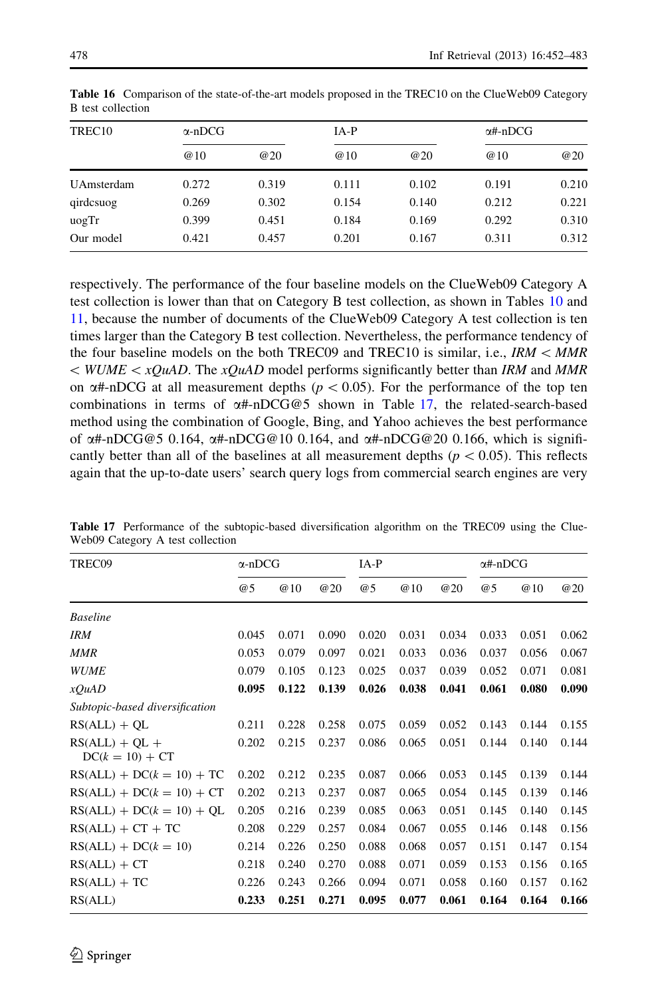| TREC <sub>10</sub> | $\alpha$ -nDCG |       | $IA-P$ |       | $\alpha$ #-nDCG |            |  |
|--------------------|----------------|-------|--------|-------|-----------------|------------|--|
|                    | @10            | @20   | @10    | @20   | @10             | <b>@20</b> |  |
| UAmsterdam         | 0.272          | 0.319 | 0.111  | 0.102 | 0.191           | 0.210      |  |
| qirdcsuog          | 0.269          | 0.302 | 0.154  | 0.140 | 0.212           | 0.221      |  |
| uogTr              | 0.399          | 0.451 | 0.184  | 0.169 | 0.292           | 0.310      |  |
| Our model          | 0.421          | 0.457 | 0.201  | 0.167 | 0.311           | 0.312      |  |

<span id="page-26-0"></span>Table 16 Comparison of the state-of-the-art models proposed in the TREC10 on the ClueWeb09 Category B test collection

respectively. The performance of the four baseline models on the ClueWeb09 Category A test collection is lower than that on Category B test collection, as shown in Tables [10](#page-21-0) and [11](#page-22-0), because the number of documents of the ClueWeb09 Category A test collection is ten times larger than the Category B test collection. Nevertheless, the performance tendency of the four baseline models on the both TREC09 and TREC10 is similar, i.e.,  $IRM \leq MMR$  $\< WUME \< xQuAD$ . The xQuAD model performs significantly better than IRM and MMR on  $\alpha$ #-nDCG at all measurement depths ( $p < 0.05$ ). For the performance of the top ten combinations in terms of  $\alpha$ #-nDCG@5 shown in Table 17, the related-search-based method using the combination of Google, Bing, and Yahoo achieves the best performance of  $\alpha$ #-nDCG@5 0.164,  $\alpha$ #-nDCG@10 0.164, and  $\alpha$ #-nDCG@20 0.166, which is significantly better than all of the baselines at all measurement depths ( $p < 0.05$ ). This reflects again that the up-to-date users' search query logs from commercial search engines are very

| TREC09                                | $\alpha$ -nDCG |       |            | IA-P  |       |            | $\alpha$ #-nDCG |       |            |
|---------------------------------------|----------------|-------|------------|-------|-------|------------|-----------------|-------|------------|
|                                       | @5             | @10   | <b>@20</b> | @5    | @10   | <b>@20</b> | @5              | @10   | <b>@20</b> |
| <b>Baseline</b>                       |                |       |            |       |       |            |                 |       |            |
| <b>IRM</b>                            | 0.045          | 0.071 | 0.090      | 0.020 | 0.031 | 0.034      | 0.033           | 0.051 | 0.062      |
| <b>MMR</b>                            | 0.053          | 0.079 | 0.097      | 0.021 | 0.033 | 0.036      | 0.037           | 0.056 | 0.067      |
| <b>WUME</b>                           | 0.079          | 0.105 | 0.123      | 0.025 | 0.037 | 0.039      | 0.052           | 0.071 | 0.081      |
| xQuAD                                 | 0.095          | 0.122 | 0.139      | 0.026 | 0.038 | 0.041      | 0.061           | 0.080 | 0.090      |
| Subtopic-based diversification        |                |       |            |       |       |            |                 |       |            |
| $RS(ALL) + QL$                        | 0.211          | 0.228 | 0.258      | 0.075 | 0.059 | 0.052      | 0.143           | 0.144 | 0.155      |
| $RS(ALL) + QL +$<br>$DC(k = 10) + CT$ | 0.202          | 0.215 | 0.237      | 0.086 | 0.065 | 0.051      | 0.144           | 0.140 | 0.144      |
| $RS(ALL) + DC(k = 10) + TC$           | 0.202          | 0.212 | 0.235      | 0.087 | 0.066 | 0.053      | 0.145           | 0.139 | 0.144      |
| $RS(ALL) + DC(k = 10) + CT$           | 0.202          | 0.213 | 0.237      | 0.087 | 0.065 | 0.054      | 0.145           | 0.139 | 0.146      |
| $RS(ALL) + DC(k = 10) + QL$           | 0.205          | 0.216 | 0.239      | 0.085 | 0.063 | 0.051      | 0.145           | 0.140 | 0.145      |
| $RS(ALL) + CT + TC$                   | 0.208          | 0.229 | 0.257      | 0.084 | 0.067 | 0.055      | 0.146           | 0.148 | 0.156      |
| $RS(ALL) + DC(k = 10)$                | 0.214          | 0.226 | 0.250      | 0.088 | 0.068 | 0.057      | 0.151           | 0.147 | 0.154      |
| $RS(ALL) + CT$                        | 0.218          | 0.240 | 0.270      | 0.088 | 0.071 | 0.059      | 0.153           | 0.156 | 0.165      |
| $RS(ALL) + TC$                        | 0.226          | 0.243 | 0.266      | 0.094 | 0.071 | 0.058      | 0.160           | 0.157 | 0.162      |
| RS(ALL)                               | 0.233          | 0.251 | 0.271      | 0.095 | 0.077 | 0.061      | 0.164           | 0.164 | 0.166      |

Table 17 Performance of the subtopic-based diversification algorithm on the TREC09 using the Clue-Web09 Category A test collection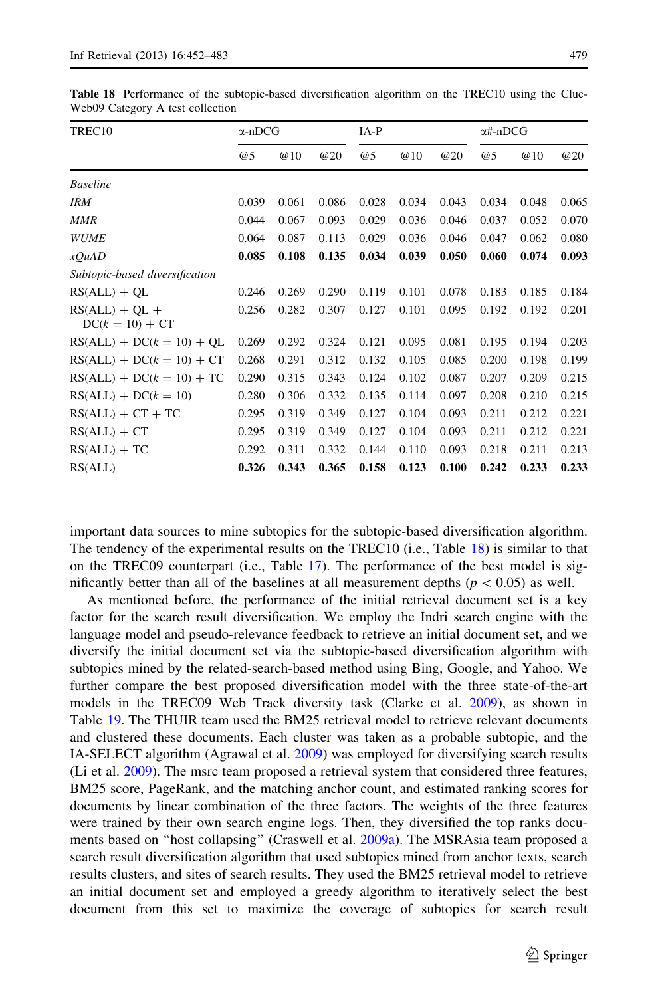| TREC10                                | $\alpha$ -nDCG |       |       | IA-P  |       |       | $\alpha$ #-nDCG |       |       |
|---------------------------------------|----------------|-------|-------|-------|-------|-------|-----------------|-------|-------|
|                                       | @5             | @10   | @20   | @5    | @10   | @20   | @5              | @10   | @20   |
| <b>Baseline</b>                       |                |       |       |       |       |       |                 |       |       |
| <b>IRM</b>                            | 0.039          | 0.061 | 0.086 | 0.028 | 0.034 | 0.043 | 0.034           | 0.048 | 0.065 |
| <b>MMR</b>                            | 0.044          | 0.067 | 0.093 | 0.029 | 0.036 | 0.046 | 0.037           | 0.052 | 0.070 |
| <b>WUME</b>                           | 0.064          | 0.087 | 0.113 | 0.029 | 0.036 | 0.046 | 0.047           | 0.062 | 0.080 |
| xQuAD                                 | 0.085          | 0.108 | 0.135 | 0.034 | 0.039 | 0.050 | 0.060           | 0.074 | 0.093 |
| Subtopic-based diversification        |                |       |       |       |       |       |                 |       |       |
| $RS(ALL) + QL$                        | 0.246          | 0.269 | 0.290 | 0.119 | 0.101 | 0.078 | 0.183           | 0.185 | 0.184 |
| $RS(ALL) + QL +$<br>$DC(k = 10) + CT$ | 0.256          | 0.282 | 0.307 | 0.127 | 0.101 | 0.095 | 0.192           | 0.192 | 0.201 |
| $RS(ALL) + DC(k = 10) + QL$           | 0.269          | 0.292 | 0.324 | 0.121 | 0.095 | 0.081 | 0.195           | 0.194 | 0.203 |
| $RS(ALL) + DC(k = 10) + CT$           | 0.268          | 0.291 | 0.312 | 0.132 | 0.105 | 0.085 | 0.200           | 0.198 | 0.199 |
| $RS(ALL) + DC(k = 10) + TC$           | 0.290          | 0.315 | 0.343 | 0.124 | 0.102 | 0.087 | 0.207           | 0.209 | 0.215 |
| $RS(ALL) + DC(k = 10)$                | 0.280          | 0.306 | 0.332 | 0.135 | 0.114 | 0.097 | 0.208           | 0.210 | 0.215 |
| $RS(ALL) + CT + TC$                   | 0.295          | 0.319 | 0.349 | 0.127 | 0.104 | 0.093 | 0.211           | 0.212 | 0.221 |
| $RS(ALL) + CT$                        | 0.295          | 0.319 | 0.349 | 0.127 | 0.104 | 0.093 | 0.211           | 0.212 | 0.221 |
| $RS(ALL) + TC$                        | 0.292          | 0.311 | 0.332 | 0.144 | 0.110 | 0.093 | 0.218           | 0.211 | 0.213 |
| RS(ALL)                               | 0.326          | 0.343 | 0.365 | 0.158 | 0.123 | 0.100 | 0.242           | 0.233 | 0.233 |

<span id="page-27-0"></span>Table 18 Performance of the subtopic-based diversification algorithm on the TREC10 using the Clue-Web09 Category A test collection

important data sources to mine subtopics for the subtopic-based diversification algorithm. The tendency of the experimental results on the TREC10 (i.e., Table 18) is similar to that on the TREC09 counterpart (i.e., Table [17](#page-26-0)). The performance of the best model is significantly better than all of the baselines at all measurement depths ( $p < 0.05$ ) as well.

As mentioned before, the performance of the initial retrieval document set is a key factor for the search result diversification. We employ the Indri search engine with the language model and pseudo-relevance feedback to retrieve an initial document set, and we diversify the initial document set via the subtopic-based diversification algorithm with subtopics mined by the related-search-based method using Bing, Google, and Yahoo. We further compare the best proposed diversification model with the three state-of-the-art models in the TREC09 Web Track diversity task (Clarke et al. [2009\)](#page-30-0), as shown in Table [19](#page-28-0). The THUIR team used the BM25 retrieval model to retrieve relevant documents and clustered these documents. Each cluster was taken as a probable subtopic, and the IA-SELECT algorithm (Agrawal et al. [2009\)](#page-30-0) was employed for diversifying search results (Li et al. [2009\)](#page-30-0). The msrc team proposed a retrieval system that considered three features, BM25 score, PageRank, and the matching anchor count, and estimated ranking scores for documents by linear combination of the three factors. The weights of the three features were trained by their own search engine logs. Then, they diversified the top ranks documents based on ''host collapsing'' (Craswell et al. [2009a\)](#page-30-0). The MSRAsia team proposed a search result diversification algorithm that used subtopics mined from anchor texts, search results clusters, and sites of search results. They used the BM25 retrieval model to retrieve an initial document set and employed a greedy algorithm to iteratively select the best document from this set to maximize the coverage of subtopics for search result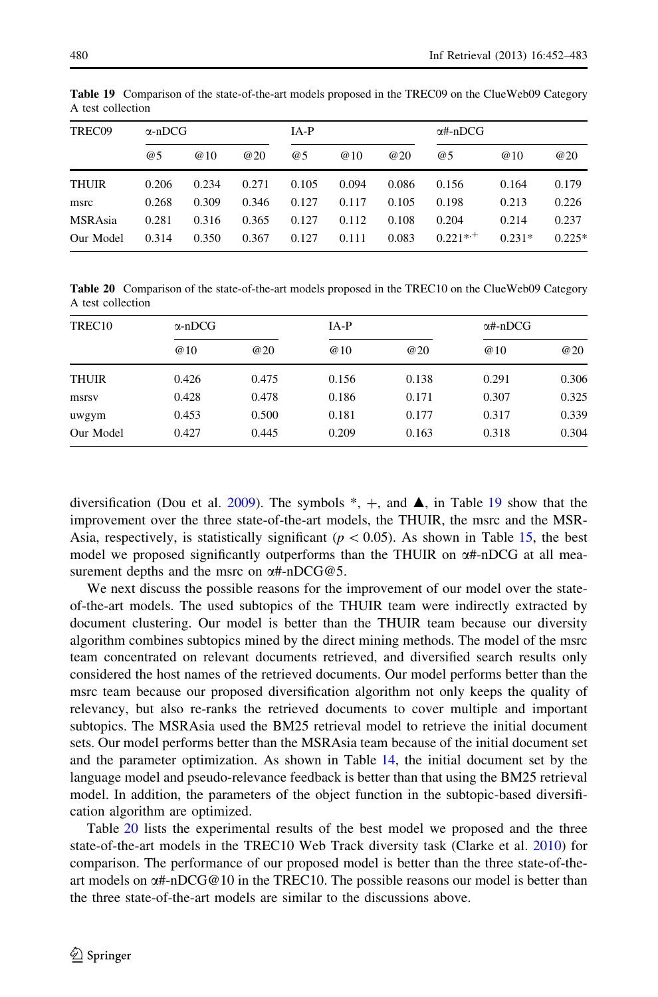| TREC09         | $\alpha$ -nDCG |       |            | IA-P  |       |            | $\alpha$ #-nDCG |          |          |
|----------------|----------------|-------|------------|-------|-------|------------|-----------------|----------|----------|
|                | @5             | @10   | <b>@20</b> | @5    | @10   | <b>@20</b> | @5              | @10      | @20      |
| <b>THUIR</b>   | 0.206          | 0.234 | 0.271      | 0.105 | 0.094 | 0.086      | 0.156           | 0.164    | 0.179    |
| msrc           | 0.268          | 0.309 | 0.346      | 0.127 | 0.117 | 0.105      | 0.198           | 0.213    | 0.226    |
| <b>MSRAsia</b> | 0.281          | 0.316 | 0.365      | 0.127 | 0.112 | 0.108      | 0.204           | 0.214    | 0.237    |
| Our Model      | 0.314          | 0.350 | 0.367      | 0.127 | 0.111 | 0.083      | $0.221***$      | $0.231*$ | $0.225*$ |

<span id="page-28-0"></span>Table 19 Comparison of the state-of-the-art models proposed in the TREC09 on the ClueWeb09 Category A test collection

Table 20 Comparison of the state-of-the-art models proposed in the TREC10 on the ClueWeb09 Category A test collection

| TREC <sub>10</sub> | $\alpha$ -nDCG |            | $IA-P$     |       | $\alpha$ #-nDCG |            |  |
|--------------------|----------------|------------|------------|-------|-----------------|------------|--|
|                    | <b>@10</b>     | <b>@20</b> | <b>@10</b> | @20   | <b>@10</b>      | <b>@20</b> |  |
| <b>THUIR</b>       | 0.426          | 0.475      | 0.156      | 0.138 | 0.291           | 0.306      |  |
| msrsy              | 0.428          | 0.478      | 0.186      | 0.171 | 0.307           | 0.325      |  |
| uwgym              | 0.453          | 0.500      | 0.181      | 0.177 | 0.317           | 0.339      |  |
| Our Model          | 0.427          | 0.445      | 0.209      | 0.163 | 0.318           | 0.304      |  |

diversification (Dou et al. [2009\)](#page-30-0). The symbols  $*, +$ , and  $\blacktriangle$ , in Table 19 show that the improvement over the three state-of-the-art models, the THUIR, the msrc and the MSR-Asia, respectively, is statistically significant ( $p < 0.05$ ). As shown in Table [15](#page-25-0), the best model we proposed significantly outperforms than the THUIR on a#-nDCG at all measurement depths and the msrc on  $\alpha$ #-nDCG@5.

We next discuss the possible reasons for the improvement of our model over the stateof-the-art models. The used subtopics of the THUIR team were indirectly extracted by document clustering. Our model is better than the THUIR team because our diversity algorithm combines subtopics mined by the direct mining methods. The model of the msrc team concentrated on relevant documents retrieved, and diversified search results only considered the host names of the retrieved documents. Our model performs better than the msrc team because our proposed diversification algorithm not only keeps the quality of relevancy, but also re-ranks the retrieved documents to cover multiple and important subtopics. The MSRAsia used the BM25 retrieval model to retrieve the initial document sets. Our model performs better than the MSRAsia team because of the initial document set and the parameter optimization. As shown in Table [14](#page-24-0), the initial document set by the language model and pseudo-relevance feedback is better than that using the BM25 retrieval model. In addition, the parameters of the object function in the subtopic-based diversification algorithm are optimized.

Table 20 lists the experimental results of the best model we proposed and the three state-of-the-art models in the TREC10 Web Track diversity task (Clarke et al. [2010](#page-30-0)) for comparison. The performance of our proposed model is better than the three state-of-theart models on  $\alpha$ #-nDCG@10 in the TREC10. The possible reasons our model is better than the three state-of-the-art models are similar to the discussions above.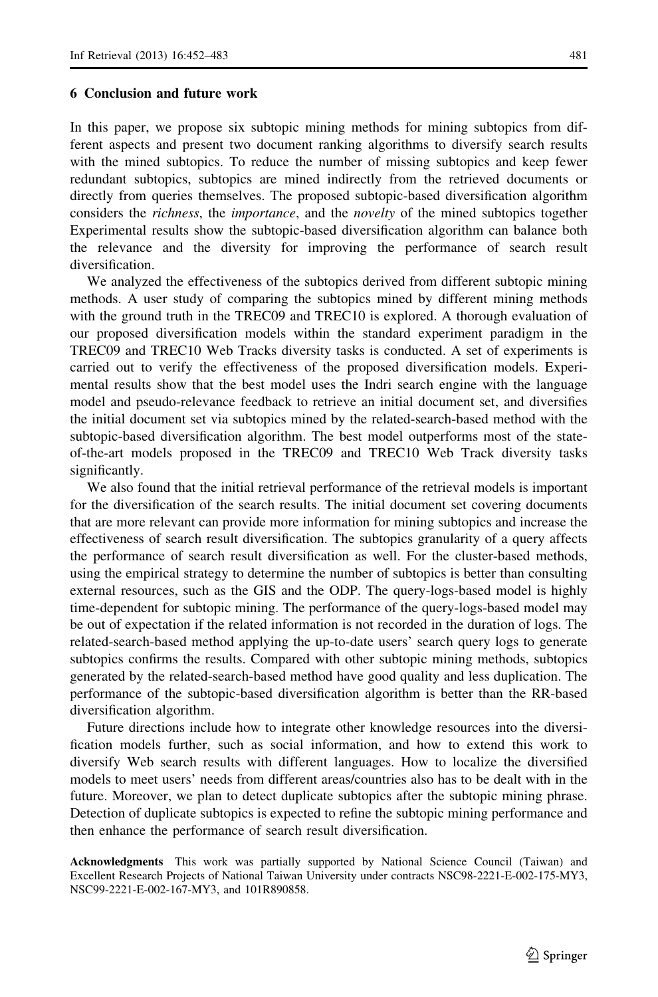<span id="page-29-0"></span>In this paper, we propose six subtopic mining methods for mining subtopics from different aspects and present two document ranking algorithms to diversify search results with the mined subtopics. To reduce the number of missing subtopics and keep fewer redundant subtopics, subtopics are mined indirectly from the retrieved documents or directly from queries themselves. The proposed subtopic-based diversification algorithm considers the *richness*, the *importance*, and the *novelty* of the mined subtopics together Experimental results show the subtopic-based diversification algorithm can balance both the relevance and the diversity for improving the performance of search result diversification.

We analyzed the effectiveness of the subtopics derived from different subtopic mining methods. A user study of comparing the subtopics mined by different mining methods with the ground truth in the TREC09 and TREC10 is explored. A thorough evaluation of our proposed diversification models within the standard experiment paradigm in the TREC09 and TREC10 Web Tracks diversity tasks is conducted. A set of experiments is carried out to verify the effectiveness of the proposed diversification models. Experimental results show that the best model uses the Indri search engine with the language model and pseudo-relevance feedback to retrieve an initial document set, and diversifies the initial document set via subtopics mined by the related-search-based method with the subtopic-based diversification algorithm. The best model outperforms most of the stateof-the-art models proposed in the TREC09 and TREC10 Web Track diversity tasks significantly.

We also found that the initial retrieval performance of the retrieval models is important for the diversification of the search results. The initial document set covering documents that are more relevant can provide more information for mining subtopics and increase the effectiveness of search result diversification. The subtopics granularity of a query affects the performance of search result diversification as well. For the cluster-based methods, using the empirical strategy to determine the number of subtopics is better than consulting external resources, such as the GIS and the ODP. The query-logs-based model is highly time-dependent for subtopic mining. The performance of the query-logs-based model may be out of expectation if the related information is not recorded in the duration of logs. The related-search-based method applying the up-to-date users' search query logs to generate subtopics confirms the results. Compared with other subtopic mining methods, subtopics generated by the related-search-based method have good quality and less duplication. The performance of the subtopic-based diversification algorithm is better than the RR-based diversification algorithm.

Future directions include how to integrate other knowledge resources into the diversification models further, such as social information, and how to extend this work to diversify Web search results with different languages. How to localize the diversified models to meet users' needs from different areas/countries also has to be dealt with in the future. Moreover, we plan to detect duplicate subtopics after the subtopic mining phrase. Detection of duplicate subtopics is expected to refine the subtopic mining performance and then enhance the performance of search result diversification.

Acknowledgments This work was partially supported by National Science Council (Taiwan) and Excellent Research Projects of National Taiwan University under contracts NSC98-2221-E-002-175-MY3, NSC99-2221-E-002-167-MY3, and 101R890858.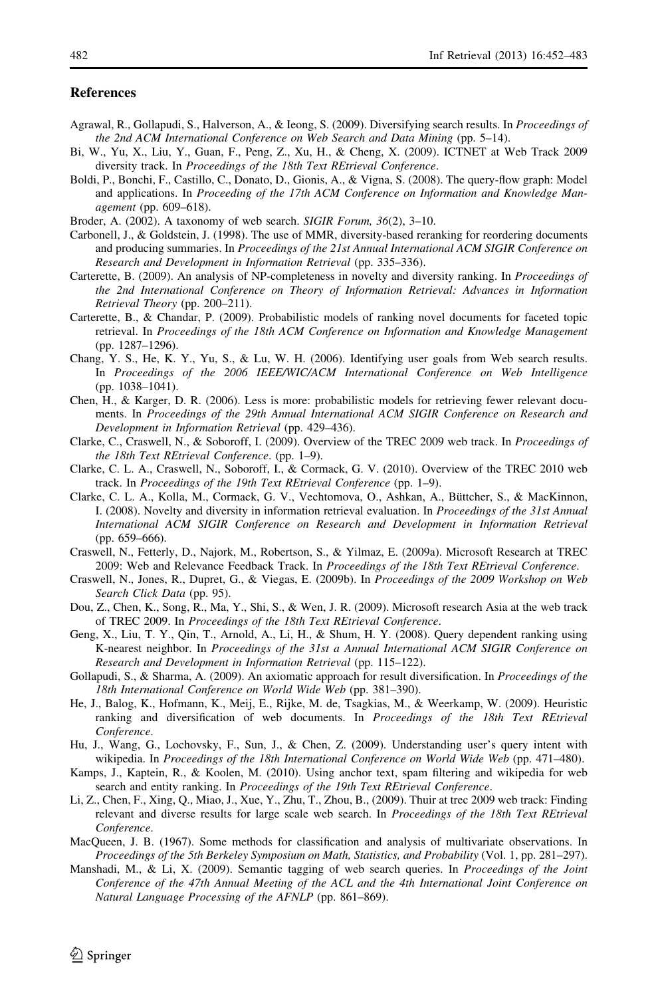### <span id="page-30-0"></span>References

- Agrawal, R., Gollapudi, S., Halverson, A., & Ieong, S. (2009). Diversifying search results. In *Proceedings of* the 2nd ACM International Conference on Web Search and Data Mining (pp. 5–14).
- Bi, W., Yu, X., Liu, Y., Guan, F., Peng, Z., Xu, H., & Cheng, X. (2009). ICTNET at Web Track 2009 diversity track. In Proceedings of the 18th Text REtrieval Conference.
- Boldi, P., Bonchi, F., Castillo, C., Donato, D., Gionis, A., & Vigna, S. (2008). The query-flow graph: Model and applications. In Proceeding of the 17th ACM Conference on Information and Knowledge Management (pp. 609–618).
- Broder, A. (2002). A taxonomy of web search. SIGIR Forum,  $36(2)$ ,  $3-10$ .
- Carbonell, J., & Goldstein, J. (1998). The use of MMR, diversity-based reranking for reordering documents and producing summaries. In Proceedings of the 21st Annual International ACM SIGIR Conference on Research and Development in Information Retrieval (pp. 335–336).
- Carterette, B. (2009). An analysis of NP-completeness in novelty and diversity ranking. In Proceedings of the 2nd International Conference on Theory of Information Retrieval: Advances in Information Retrieval Theory (pp. 200–211).
- Carterette, B., & Chandar, P. (2009). Probabilistic models of ranking novel documents for faceted topic retrieval. In Proceedings of the 18th ACM Conference on Information and Knowledge Management (pp. 1287–1296).
- Chang, Y. S., He, K. Y., Yu, S., & Lu, W. H. (2006). Identifying user goals from Web search results. In Proceedings of the 2006 IEEE/WIC/ACM International Conference on Web Intelligence (pp. 1038–1041).
- Chen, H., & Karger, D. R. (2006). Less is more: probabilistic models for retrieving fewer relevant documents. In Proceedings of the 29th Annual International ACM SIGIR Conference on Research and Development in Information Retrieval (pp. 429–436).
- Clarke, C., Craswell, N., & Soboroff, I. (2009). Overview of the TREC 2009 web track. In Proceedings of the 18th Text REtrieval Conference. (pp. 1–9).
- Clarke, C. L. A., Craswell, N., Soboroff, I., & Cormack, G. V. (2010). Overview of the TREC 2010 web track. In Proceedings of the 19th Text REtrieval Conference (pp. 1–9).
- Clarke, C. L. A., Kolla, M., Cormack, G. V., Vechtomova, O., Ashkan, A., Büttcher, S., & MacKinnon, I. (2008). Novelty and diversity in information retrieval evaluation. In Proceedings of the 31st Annual International ACM SIGIR Conference on Research and Development in Information Retrieval (pp. 659–666).
- Craswell, N., Fetterly, D., Najork, M., Robertson, S., & Yilmaz, E. (2009a). Microsoft Research at TREC 2009: Web and Relevance Feedback Track. In Proceedings of the 18th Text REtrieval Conference.
- Craswell, N., Jones, R., Dupret, G., & Viegas, E. (2009b). In Proceedings of the 2009 Workshop on Web Search Click Data (pp. 95).
- Dou, Z., Chen, K., Song, R., Ma, Y., Shi, S., & Wen, J. R. (2009). Microsoft research Asia at the web track of TREC 2009. In Proceedings of the 18th Text REtrieval Conference.
- Geng, X., Liu, T. Y., Qin, T., Arnold, A., Li, H., & Shum, H. Y. (2008). Query dependent ranking using K-nearest neighbor. In Proceedings of the 31st a Annual International ACM SIGIR Conference on Research and Development in Information Retrieval (pp. 115–122).
- Gollapudi, S., & Sharma, A. (2009). An axiomatic approach for result diversification. In Proceedings of the 18th International Conference on World Wide Web (pp. 381–390).
- He, J., Balog, K., Hofmann, K., Meij, E., Rijke, M. de, Tsagkias, M., & Weerkamp, W. (2009). Heuristic ranking and diversification of web documents. In Proceedings of the 18th Text REtrieval Conference.
- Hu, J., Wang, G., Lochovsky, F., Sun, J., & Chen, Z. (2009). Understanding user's query intent with wikipedia. In Proceedings of the 18th International Conference on World Wide Web (pp. 471–480).
- Kamps, J., Kaptein, R., & Koolen, M. (2010). Using anchor text, spam filtering and wikipedia for web search and entity ranking. In Proceedings of the 19th Text REtrieval Conference.
- Li, Z., Chen, F., Xing, Q., Miao, J., Xue, Y., Zhu, T., Zhou, B., (2009). Thuir at trec 2009 web track: Finding relevant and diverse results for large scale web search. In Proceedings of the 18th Text REtrieval Conference.
- MacQueen, J. B. (1967). Some methods for classification and analysis of multivariate observations. In Proceedings of the 5th Berkeley Symposium on Math, Statistics, and Probability (Vol. 1, pp. 281–297).
- Manshadi, M., & Li, X. (2009). Semantic tagging of web search queries. In *Proceedings of the Joint* Conference of the 47th Annual Meeting of the ACL and the 4th International Joint Conference on Natural Language Processing of the AFNLP (pp. 861–869).